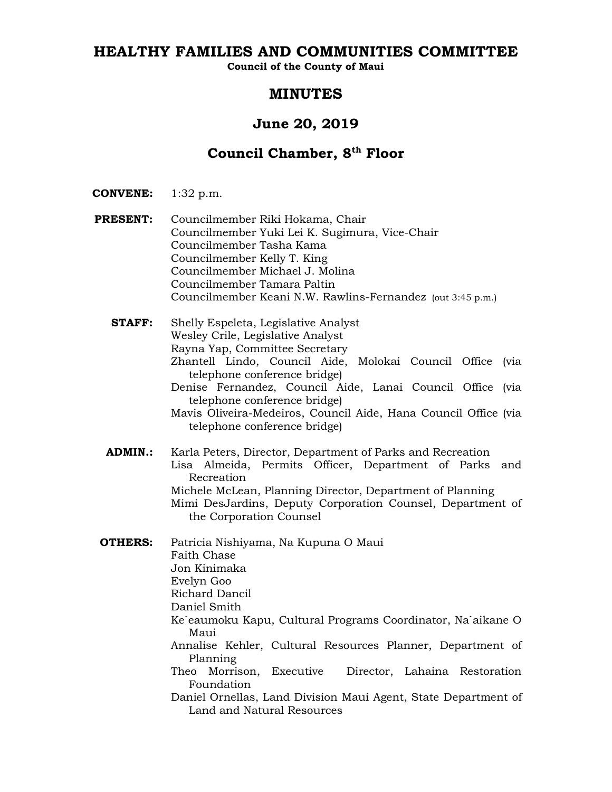# **HEALTHY FAMILIES AND COMMUNITIES COMMITTEE**

**Council of the County of Maui**

# **MINUTES**

# **June 20, 2019**

# **Council Chamber, 8th Floor**

**CONVENE:** 1:32 p.m.

- **PRESENT:** Councilmember Riki Hokama, Chair Councilmember Yuki Lei K. Sugimura, Vice-Chair Councilmember Tasha Kama Councilmember Kelly T. King Councilmember Michael J. Molina Councilmember Tamara Paltin Councilmember Keani N.W. Rawlins-Fernandez (out 3:45 p.m.)
	- **STAFF:** Shelly Espeleta, Legislative Analyst Wesley Crile, Legislative Analyst Rayna Yap, Committee Secretary Zhantell Lindo, Council Aide, Molokai Council Office (via telephone conference bridge) Denise Fernandez, Council Aide, Lanai Council Office (via telephone conference bridge) Mavis Oliveira-Medeiros, Council Aide, Hana Council Office (via telephone conference bridge)
	- **ADMIN.:** Karla Peters, Director, Department of Parks and Recreation Lisa Almeida, Permits Officer, Department of Parks and Recreation Michele McLean, Planning Director, Department of Planning Mimi DesJardins, Deputy Corporation Counsel, Department of the Corporation Counsel
- **OTHERS:** Patricia Nishiyama, Na Kupuna O Maui Faith Chase Jon Kinimaka Evelyn Goo Richard Dancil Daniel Smith Ke`eaumoku Kapu, Cultural Programs Coordinator, Na`aikane O Maui Annalise Kehler, Cultural Resources Planner, Department of Planning Theo Morrison, Executive Director, Lahaina Restoration Foundation Daniel Ornellas, Land Division Maui Agent, State Department of Land and Natural Resources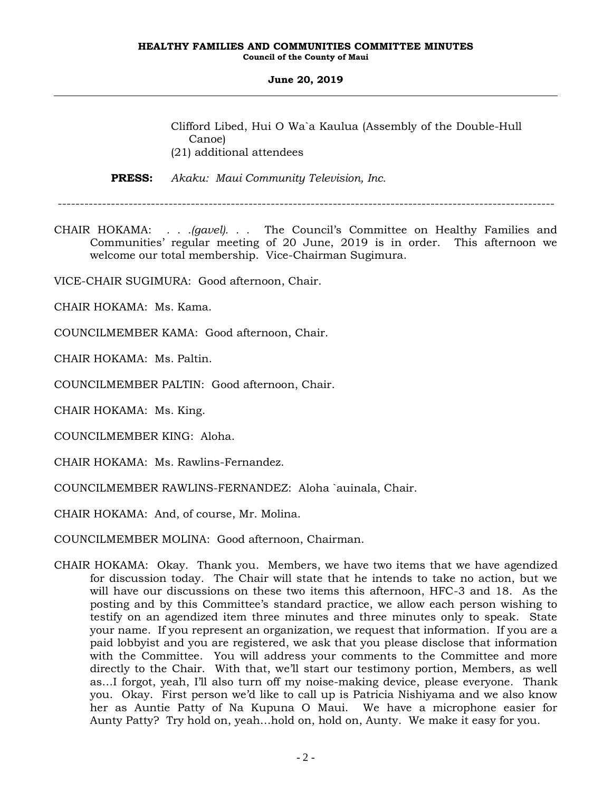Clifford Libed, Hui O Wa`a Kaulua (Assembly of the Double-Hull Canoe) (21) additional attendees

**PRESS:** *Akaku: Maui Community Television, Inc.*

----------------------------------------------------------------------------------------------------------------

CHAIR HOKAMA: *. . .(gavel). . .* The Council's Committee on Healthy Families and Communities' regular meeting of 20 June, 2019 is in order. This afternoon we welcome our total membership. Vice-Chairman Sugimura.

VICE-CHAIR SUGIMURA: Good afternoon, Chair.

CHAIR HOKAMA: Ms. Kama.

COUNCILMEMBER KAMA: Good afternoon, Chair.

CHAIR HOKAMA: Ms. Paltin.

COUNCILMEMBER PALTIN: Good afternoon, Chair.

CHAIR HOKAMA: Ms. King.

COUNCILMEMBER KING: Aloha.

CHAIR HOKAMA: Ms. Rawlins-Fernandez.

COUNCILMEMBER RAWLINS-FERNANDEZ: Aloha `auinala, Chair.

CHAIR HOKAMA: And, of course, Mr. Molina.

COUNCILMEMBER MOLINA: Good afternoon, Chairman.

CHAIR HOKAMA: Okay. Thank you. Members, we have two items that we have agendized for discussion today. The Chair will state that he intends to take no action, but we will have our discussions on these two items this afternoon, HFC-3 and 18. As the posting and by this Committee's standard practice, we allow each person wishing to testify on an agendized item three minutes and three minutes only to speak. State your name. If you represent an organization, we request that information. If you are a paid lobbyist and you are registered, we ask that you please disclose that information with the Committee. You will address your comments to the Committee and more directly to the Chair. With that, we'll start our testimony portion, Members, as well as…I forgot, yeah, I'll also turn off my noise-making device, please everyone. Thank you. Okay. First person we'd like to call up is Patricia Nishiyama and we also know her as Auntie Patty of Na Kupuna O Maui. We have a microphone easier for Aunty Patty? Try hold on, yeah…hold on, hold on, Aunty. We make it easy for you.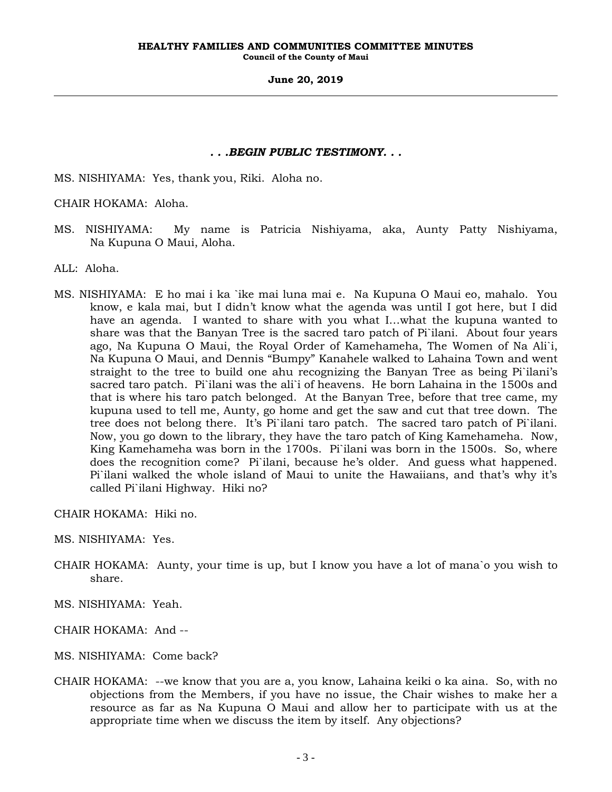# *. . .BEGIN PUBLIC TESTIMONY. . .*

MS. NISHIYAMA: Yes, thank you, Riki. Aloha no.

CHAIR HOKAMA: Aloha.

- MS. NISHIYAMA: My name is Patricia Nishiyama, aka, Aunty Patty Nishiyama, Na Kupuna O Maui, Aloha.
- ALL: Aloha.
- MS. NISHIYAMA: E ho mai i ka `ike mai luna mai e. Na Kupuna O Maui eo, mahalo. You know, e kala mai, but I didn't know what the agenda was until I got here, but I did have an agenda. I wanted to share with you what I…what the kupuna wanted to share was that the Banyan Tree is the sacred taro patch of Pi`ilani. About four years ago, Na Kupuna O Maui, the Royal Order of Kamehameha, The Women of Na Ali`i, Na Kupuna O Maui, and Dennis "Bumpy" Kanahele walked to Lahaina Town and went straight to the tree to build one ahu recognizing the Banyan Tree as being Pi`ilani's sacred taro patch. Pi`ilani was the ali`i of heavens. He born Lahaina in the 1500s and that is where his taro patch belonged. At the Banyan Tree, before that tree came, my kupuna used to tell me, Aunty, go home and get the saw and cut that tree down. The tree does not belong there. It's Pi`ilani taro patch. The sacred taro patch of Pi`ilani. Now, you go down to the library, they have the taro patch of King Kamehameha. Now, King Kamehameha was born in the 1700s. Pi`ilani was born in the 1500s. So, where does the recognition come? Pi`ilani, because he's older. And guess what happened. Pi`ilani walked the whole island of Maui to unite the Hawaiians, and that's why it's called Pi`ilani Highway. Hiki no?

CHAIR HOKAMA: Hiki no.

MS. NISHIYAMA: Yes.

- CHAIR HOKAMA: Aunty, your time is up, but I know you have a lot of mana`o you wish to share.
- MS. NISHIYAMA: Yeah.
- CHAIR HOKAMA: And --
- MS. NISHIYAMA: Come back?
- CHAIR HOKAMA: --we know that you are a, you know, Lahaina keiki o ka aina. So, with no objections from the Members, if you have no issue, the Chair wishes to make her a resource as far as Na Kupuna O Maui and allow her to participate with us at the appropriate time when we discuss the item by itself. Any objections?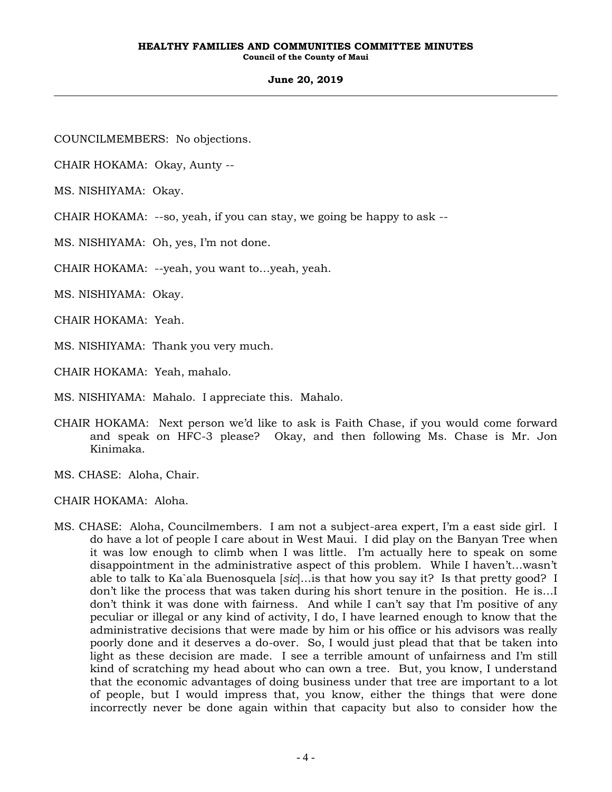### **June 20, 2019**

COUNCILMEMBERS: No objections.

CHAIR HOKAMA: Okay, Aunty --

MS. NISHIYAMA: Okay.

CHAIR HOKAMA: --so, yeah, if you can stay, we going be happy to ask --

MS. NISHIYAMA: Oh, yes, I'm not done.

CHAIR HOKAMA: --yeah, you want to…yeah, yeah.

MS. NISHIYAMA: Okay.

CHAIR HOKAMA: Yeah.

MS. NISHIYAMA: Thank you very much.

CHAIR HOKAMA: Yeah, mahalo.

MS. NISHIYAMA: Mahalo. I appreciate this. Mahalo.

CHAIR HOKAMA: Next person we'd like to ask is Faith Chase, if you would come forward and speak on HFC-3 please? Okay, and then following Ms. Chase is Mr. Jon Kinimaka.

MS. CHASE: Aloha, Chair.

CHAIR HOKAMA: Aloha.

MS. CHASE: Aloha, Councilmembers. I am not a subject-area expert, I'm a east side girl. I do have a lot of people I care about in West Maui. I did play on the Banyan Tree when it was low enough to climb when I was little. I'm actually here to speak on some disappointment in the administrative aspect of this problem. While I haven't…wasn't able to talk to Ka`ala Buenosquela [*sic*]…is that how you say it? Is that pretty good? I don't like the process that was taken during his short tenure in the position. He is…I don't think it was done with fairness. And while I can't say that I'm positive of any peculiar or illegal or any kind of activity, I do, I have learned enough to know that the administrative decisions that were made by him or his office or his advisors was really poorly done and it deserves a do-over. So, I would just plead that that be taken into light as these decision are made. I see a terrible amount of unfairness and I'm still kind of scratching my head about who can own a tree. But, you know, I understand that the economic advantages of doing business under that tree are important to a lot of people, but I would impress that, you know, either the things that were done incorrectly never be done again within that capacity but also to consider how the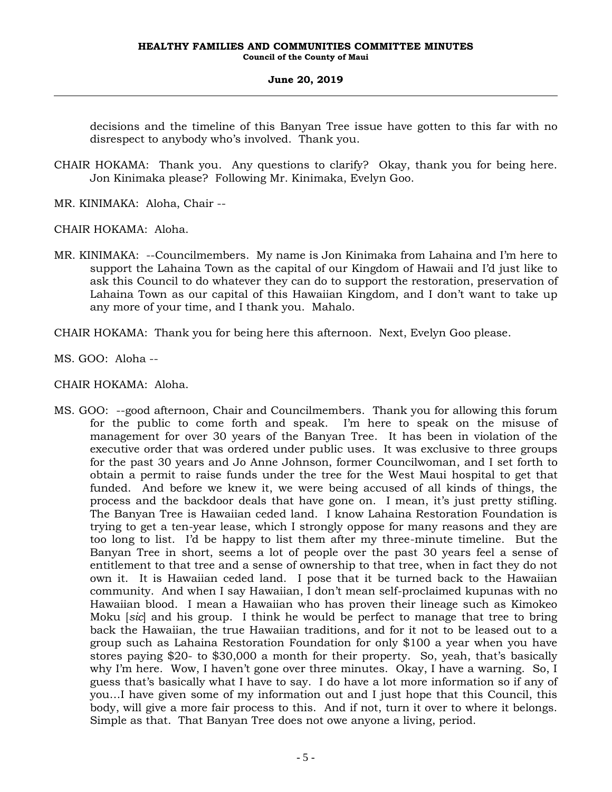decisions and the timeline of this Banyan Tree issue have gotten to this far with no disrespect to anybody who's involved. Thank you.

- CHAIR HOKAMA: Thank you. Any questions to clarify? Okay, thank you for being here. Jon Kinimaka please? Following Mr. Kinimaka, Evelyn Goo.
- MR. KINIMAKA: Aloha, Chair --
- CHAIR HOKAMA: Aloha.
- MR. KINIMAKA: --Councilmembers. My name is Jon Kinimaka from Lahaina and I'm here to support the Lahaina Town as the capital of our Kingdom of Hawaii and I'd just like to ask this Council to do whatever they can do to support the restoration, preservation of Lahaina Town as our capital of this Hawaiian Kingdom, and I don't want to take up any more of your time, and I thank you. Mahalo.

CHAIR HOKAMA: Thank you for being here this afternoon. Next, Evelyn Goo please.

MS. GOO: Aloha --

CHAIR HOKAMA: Aloha.

MS. GOO: --good afternoon, Chair and Councilmembers. Thank you for allowing this forum for the public to come forth and speak. I'm here to speak on the misuse of management for over 30 years of the Banyan Tree. It has been in violation of the executive order that was ordered under public uses. It was exclusive to three groups for the past 30 years and Jo Anne Johnson, former Councilwoman, and I set forth to obtain a permit to raise funds under the tree for the West Maui hospital to get that funded. And before we knew it, we were being accused of all kinds of things, the process and the backdoor deals that have gone on. I mean, it's just pretty stifling. The Banyan Tree is Hawaiian ceded land. I know Lahaina Restoration Foundation is trying to get a ten-year lease, which I strongly oppose for many reasons and they are too long to list. I'd be happy to list them after my three-minute timeline. But the Banyan Tree in short, seems a lot of people over the past 30 years feel a sense of entitlement to that tree and a sense of ownership to that tree, when in fact they do not own it. It is Hawaiian ceded land. I pose that it be turned back to the Hawaiian community. And when I say Hawaiian, I don't mean self-proclaimed kupunas with no Hawaiian blood. I mean a Hawaiian who has proven their lineage such as Kimokeo Moku [*sic*] and his group. I think he would be perfect to manage that tree to bring back the Hawaiian, the true Hawaiian traditions, and for it not to be leased out to a group such as Lahaina Restoration Foundation for only \$100 a year when you have stores paying \$20- to \$30,000 a month for their property. So, yeah, that's basically why I'm here. Wow, I haven't gone over three minutes. Okay, I have a warning. So, I guess that's basically what I have to say. I do have a lot more information so if any of you…I have given some of my information out and I just hope that this Council, this body, will give a more fair process to this. And if not, turn it over to where it belongs. Simple as that. That Banyan Tree does not owe anyone a living, period.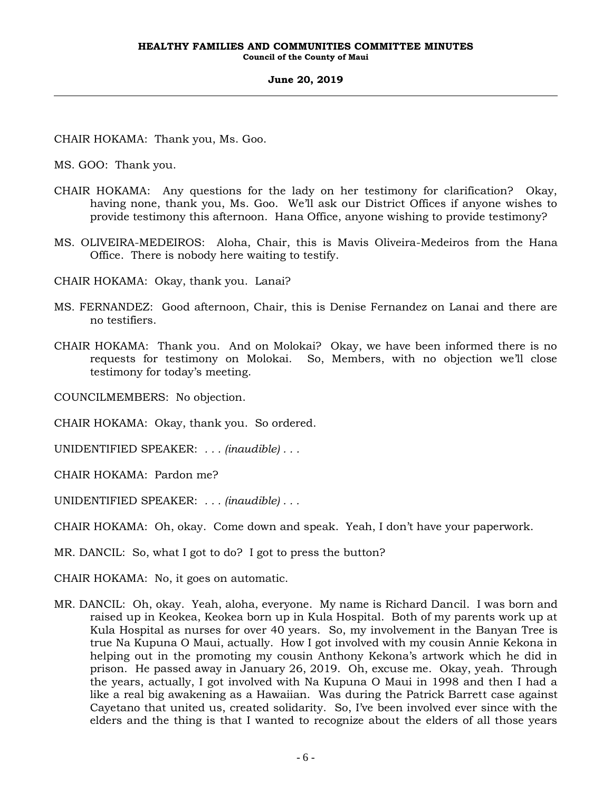CHAIR HOKAMA: Thank you, Ms. Goo.

MS. GOO: Thank you.

- CHAIR HOKAMA: Any questions for the lady on her testimony for clarification? Okay, having none, thank you, Ms. Goo. We'll ask our District Offices if anyone wishes to provide testimony this afternoon. Hana Office, anyone wishing to provide testimony?
- MS. OLIVEIRA-MEDEIROS: Aloha, Chair, this is Mavis Oliveira-Medeiros from the Hana Office. There is nobody here waiting to testify.

CHAIR HOKAMA: Okay, thank you. Lanai?

- MS. FERNANDEZ: Good afternoon, Chair, this is Denise Fernandez on Lanai and there are no testifiers.
- CHAIR HOKAMA: Thank you. And on Molokai? Okay, we have been informed there is no requests for testimony on Molokai. So, Members, with no objection we'll close testimony for today's meeting.

COUNCILMEMBERS: No objection.

CHAIR HOKAMA: Okay, thank you. So ordered.

UNIDENTIFIED SPEAKER: *. . . (inaudible) . . .*

CHAIR HOKAMA: Pardon me?

UNIDENTIFIED SPEAKER: *. . . (inaudible) . . .*

CHAIR HOKAMA: Oh, okay. Come down and speak. Yeah, I don't have your paperwork.

MR. DANCIL: So, what I got to do? I got to press the button?

CHAIR HOKAMA: No, it goes on automatic.

MR. DANCIL: Oh, okay. Yeah, aloha, everyone. My name is Richard Dancil. I was born and raised up in Keokea, Keokea born up in Kula Hospital. Both of my parents work up at Kula Hospital as nurses for over 40 years. So, my involvement in the Banyan Tree is true Na Kupuna O Maui, actually. How I got involved with my cousin Annie Kekona in helping out in the promoting my cousin Anthony Kekona's artwork which he did in prison. He passed away in January 26, 2019. Oh, excuse me. Okay, yeah. Through the years, actually, I got involved with Na Kupuna O Maui in 1998 and then I had a like a real big awakening as a Hawaiian. Was during the Patrick Barrett case against Cayetano that united us, created solidarity. So, I've been involved ever since with the elders and the thing is that I wanted to recognize about the elders of all those years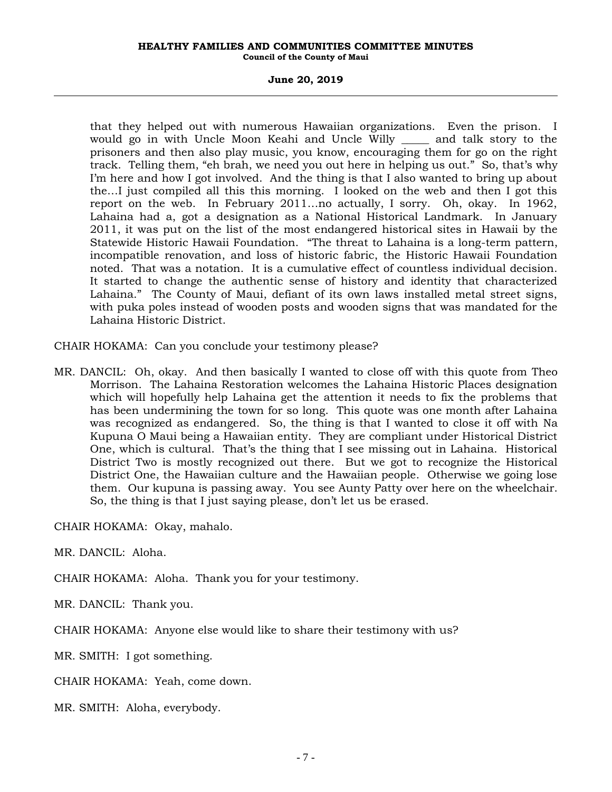# **June 20, 2019**

that they helped out with numerous Hawaiian organizations. Even the prison. I would go in with Uncle Moon Keahi and Uncle Willy \_\_\_\_\_ and talk story to the prisoners and then also play music, you know, encouraging them for go on the right track. Telling them, "eh brah, we need you out here in helping us out." So, that's why I'm here and how I got involved. And the thing is that I also wanted to bring up about the…I just compiled all this this morning. I looked on the web and then I got this report on the web. In February 2011…no actually, I sorry. Oh, okay. In 1962, Lahaina had a, got a designation as a National Historical Landmark. In January 2011, it was put on the list of the most endangered historical sites in Hawaii by the Statewide Historic Hawaii Foundation. "The threat to Lahaina is a long-term pattern, incompatible renovation, and loss of historic fabric, the Historic Hawaii Foundation noted. That was a notation. It is a cumulative effect of countless individual decision. It started to change the authentic sense of history and identity that characterized Lahaina." The County of Maui, defiant of its own laws installed metal street signs, with puka poles instead of wooden posts and wooden signs that was mandated for the Lahaina Historic District.

CHAIR HOKAMA: Can you conclude your testimony please?

MR. DANCIL: Oh, okay. And then basically I wanted to close off with this quote from Theo Morrison. The Lahaina Restoration welcomes the Lahaina Historic Places designation which will hopefully help Lahaina get the attention it needs to fix the problems that has been undermining the town for so long. This quote was one month after Lahaina was recognized as endangered. So, the thing is that I wanted to close it off with Na Kupuna O Maui being a Hawaiian entity. They are compliant under Historical District One, which is cultural. That's the thing that I see missing out in Lahaina. Historical District Two is mostly recognized out there. But we got to recognize the Historical District One, the Hawaiian culture and the Hawaiian people. Otherwise we going lose them. Our kupuna is passing away. You see Aunty Patty over here on the wheelchair. So, the thing is that I just saying please, don't let us be erased.

CHAIR HOKAMA: Okay, mahalo.

MR. DANCIL: Aloha.

CHAIR HOKAMA: Aloha. Thank you for your testimony.

MR. DANCIL: Thank you.

CHAIR HOKAMA: Anyone else would like to share their testimony with us?

MR. SMITH: I got something.

CHAIR HOKAMA: Yeah, come down.

MR. SMITH: Aloha, everybody.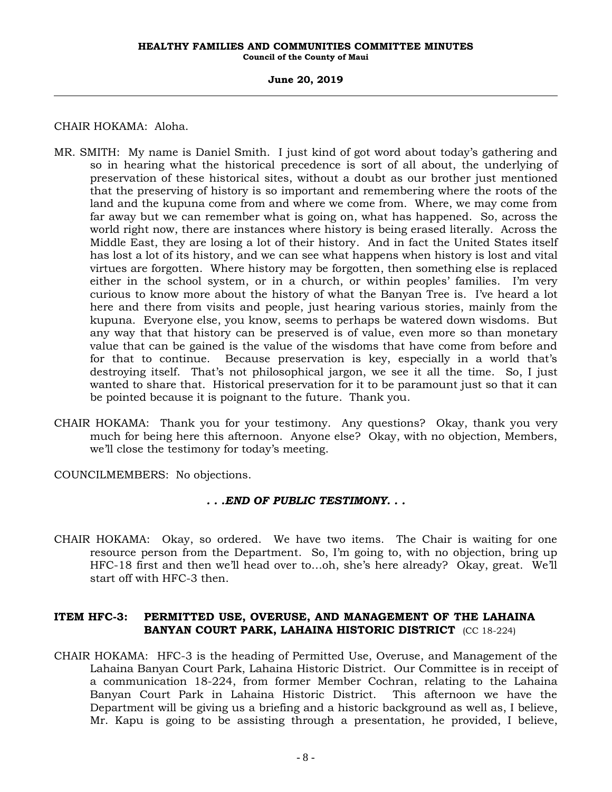### **June 20, 2019**

# CHAIR HOKAMA: Aloha.

- MR. SMITH: My name is Daniel Smith. I just kind of got word about today's gathering and so in hearing what the historical precedence is sort of all about, the underlying of preservation of these historical sites, without a doubt as our brother just mentioned that the preserving of history is so important and remembering where the roots of the land and the kupuna come from and where we come from. Where, we may come from far away but we can remember what is going on, what has happened. So, across the world right now, there are instances where history is being erased literally. Across the Middle East, they are losing a lot of their history. And in fact the United States itself has lost a lot of its history, and we can see what happens when history is lost and vital virtues are forgotten. Where history may be forgotten, then something else is replaced either in the school system, or in a church, or within peoples' families. I'm very curious to know more about the history of what the Banyan Tree is. I've heard a lot here and there from visits and people, just hearing various stories, mainly from the kupuna. Everyone else, you know, seems to perhaps be watered down wisdoms. But any way that that history can be preserved is of value, even more so than monetary value that can be gained is the value of the wisdoms that have come from before and for that to continue. Because preservation is key, especially in a world that's destroying itself. That's not philosophical jargon, we see it all the time. So, I just wanted to share that. Historical preservation for it to be paramount just so that it can be pointed because it is poignant to the future. Thank you.
- CHAIR HOKAMA: Thank you for your testimony. Any questions? Okay, thank you very much for being here this afternoon. Anyone else? Okay, with no objection, Members, we'll close the testimony for today's meeting.
- COUNCILMEMBERS: No objections.

# *. . .END OF PUBLIC TESTIMONY. . .*

CHAIR HOKAMA: Okay, so ordered. We have two items. The Chair is waiting for one resource person from the Department. So, I'm going to, with no objection, bring up HFC-18 first and then we'll head over to…oh, she's here already? Okay, great. We'll start off with HFC-3 then.

# **ITEM HFC-3: PERMITTED USE, OVERUSE, AND MANAGEMENT OF THE LAHAINA BANYAN COURT PARK, LAHAINA HISTORIC DISTRICT** (CC 18-224)

CHAIR HOKAMA: HFC-3 is the heading of Permitted Use, Overuse, and Management of the Lahaina Banyan Court Park, Lahaina Historic District. Our Committee is in receipt of a communication 18-224, from former Member Cochran, relating to the Lahaina Banyan Court Park in Lahaina Historic District. This afternoon we have the Department will be giving us a briefing and a historic background as well as, I believe, Mr. Kapu is going to be assisting through a presentation, he provided, I believe,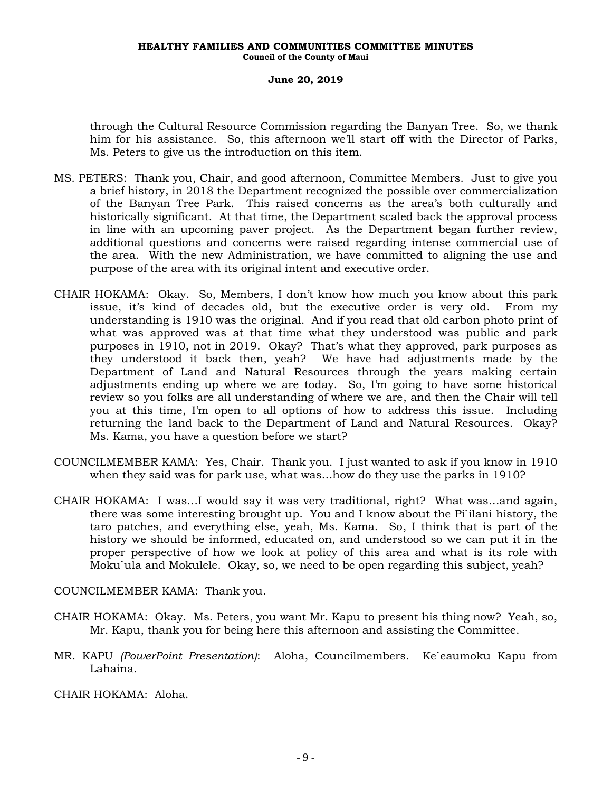# **June 20, 2019**

through the Cultural Resource Commission regarding the Banyan Tree. So, we thank him for his assistance. So, this afternoon we'll start off with the Director of Parks, Ms. Peters to give us the introduction on this item.

- MS. PETERS: Thank you, Chair, and good afternoon, Committee Members. Just to give you a brief history, in 2018 the Department recognized the possible over commercialization of the Banyan Tree Park. This raised concerns as the area's both culturally and historically significant. At that time, the Department scaled back the approval process in line with an upcoming paver project. As the Department began further review, additional questions and concerns were raised regarding intense commercial use of the area. With the new Administration, we have committed to aligning the use and purpose of the area with its original intent and executive order.
- CHAIR HOKAMA: Okay. So, Members, I don't know how much you know about this park issue, it's kind of decades old, but the executive order is very old. From my understanding is 1910 was the original. And if you read that old carbon photo print of what was approved was at that time what they understood was public and park purposes in 1910, not in 2019. Okay? That's what they approved, park purposes as they understood it back then, yeah? We have had adjustments made by the Department of Land and Natural Resources through the years making certain adjustments ending up where we are today. So, I'm going to have some historical review so you folks are all understanding of where we are, and then the Chair will tell you at this time, I'm open to all options of how to address this issue. Including returning the land back to the Department of Land and Natural Resources. Okay? Ms. Kama, you have a question before we start?
- COUNCILMEMBER KAMA: Yes, Chair. Thank you. I just wanted to ask if you know in 1910 when they said was for park use, what was…how do they use the parks in 1910?
- CHAIR HOKAMA: I was…I would say it was very traditional, right? What was…and again, there was some interesting brought up. You and I know about the Pi`ilani history, the taro patches, and everything else, yeah, Ms. Kama. So, I think that is part of the history we should be informed, educated on, and understood so we can put it in the proper perspective of how we look at policy of this area and what is its role with Moku`ula and Mokulele. Okay, so, we need to be open regarding this subject, yeah?

COUNCILMEMBER KAMA: Thank you.

- CHAIR HOKAMA: Okay. Ms. Peters, you want Mr. Kapu to present his thing now? Yeah, so, Mr. Kapu, thank you for being here this afternoon and assisting the Committee.
- MR. KAPU *(PowerPoint Presentation)*: Aloha, Councilmembers. Ke`eaumoku Kapu from Lahaina.
- CHAIR HOKAMA: Aloha.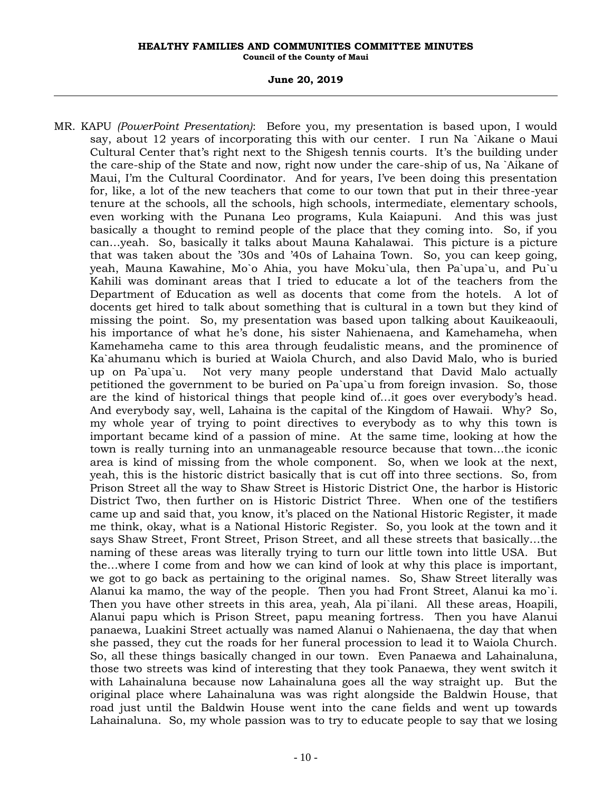### **June 20, 2019**

MR. KAPU *(PowerPoint Presentation)*: Before you, my presentation is based upon, I would say, about 12 years of incorporating this with our center. I run Na `Aikane o Maui Cultural Center that's right next to the Shigesh tennis courts. It's the building under the care-ship of the State and now, right now under the care-ship of us, Na `Aikane of Maui, I'm the Cultural Coordinator. And for years, I've been doing this presentation for, like, a lot of the new teachers that come to our town that put in their three-year tenure at the schools, all the schools, high schools, intermediate, elementary schools, even working with the Punana Leo programs, Kula Kaiapuni. And this was just basically a thought to remind people of the place that they coming into. So, if you can…yeah. So, basically it talks about Mauna Kahalawai. This picture is a picture that was taken about the '30s and '40s of Lahaina Town. So, you can keep going, yeah, Mauna Kawahine, Mo`o Ahia, you have Moku`ula, then Pa`upa`u, and Pu`u Kahili was dominant areas that I tried to educate a lot of the teachers from the Department of Education as well as docents that come from the hotels. A lot of docents get hired to talk about something that is cultural in a town but they kind of missing the point. So, my presentation was based upon talking about Kauikeaouli, his importance of what he's done, his sister Nahienaena, and Kamehameha, when Kamehameha came to this area through feudalistic means, and the prominence of Ka`ahumanu which is buried at Waiola Church, and also David Malo, who is buried up on Pa`upa`u. Not very many people understand that David Malo actually petitioned the government to be buried on Pa`upa`u from foreign invasion. So, those are the kind of historical things that people kind of…it goes over everybody's head. And everybody say, well, Lahaina is the capital of the Kingdom of Hawaii. Why? So, my whole year of trying to point directives to everybody as to why this town is important became kind of a passion of mine. At the same time, looking at how the town is really turning into an unmanageable resource because that town…the iconic area is kind of missing from the whole component. So, when we look at the next, yeah, this is the historic district basically that is cut off into three sections. So, from Prison Street all the way to Shaw Street is Historic District One, the harbor is Historic District Two, then further on is Historic District Three. When one of the testifiers came up and said that, you know, it's placed on the National Historic Register, it made me think, okay, what is a National Historic Register. So, you look at the town and it says Shaw Street, Front Street, Prison Street, and all these streets that basically…the naming of these areas was literally trying to turn our little town into little USA. But the…where I come from and how we can kind of look at why this place is important, we got to go back as pertaining to the original names. So, Shaw Street literally was Alanui ka mamo, the way of the people. Then you had Front Street, Alanui ka mo`i. Then you have other streets in this area, yeah, Ala pi`ilani. All these areas, Hoapili, Alanui papu which is Prison Street, papu meaning fortress. Then you have Alanui panaewa, Luakini Street actually was named Alanui o Nahienaena, the day that when she passed, they cut the roads for her funeral procession to lead it to Waiola Church. So, all these things basically changed in our town. Even Panaewa and Lahainaluna, those two streets was kind of interesting that they took Panaewa, they went switch it with Lahainaluna because now Lahainaluna goes all the way straight up. But the original place where Lahainaluna was was right alongside the Baldwin House, that road just until the Baldwin House went into the cane fields and went up towards Lahainaluna. So, my whole passion was to try to educate people to say that we losing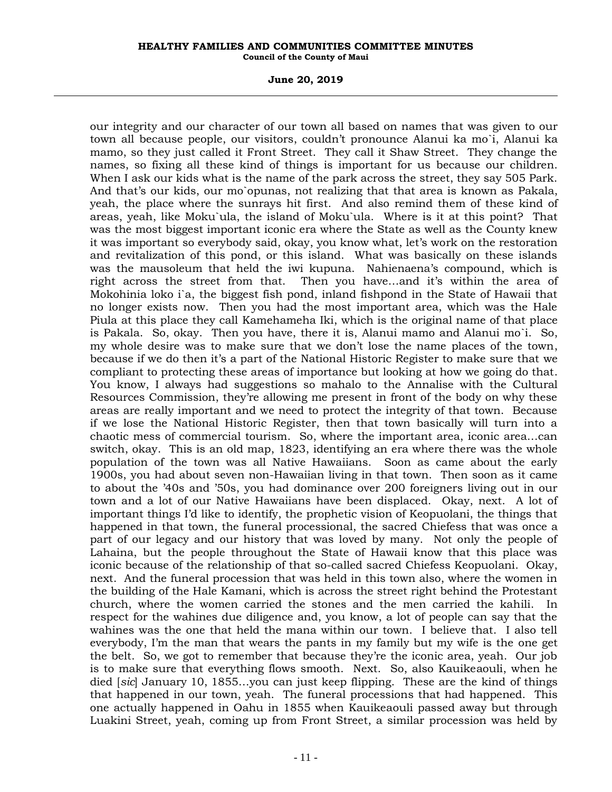### **June 20, 2019**

our integrity and our character of our town all based on names that was given to our town all because people, our visitors, couldn't pronounce Alanui ka mo`i, Alanui ka mamo, so they just called it Front Street. They call it Shaw Street. They change the names, so fixing all these kind of things is important for us because our children. When I ask our kids what is the name of the park across the street, they say 505 Park. And that's our kids, our mo`opunas, not realizing that that area is known as Pakala, yeah, the place where the sunrays hit first. And also remind them of these kind of areas, yeah, like Moku`ula, the island of Moku`ula. Where is it at this point? That was the most biggest important iconic era where the State as well as the County knew it was important so everybody said, okay, you know what, let's work on the restoration and revitalization of this pond, or this island. What was basically on these islands was the mausoleum that held the iwi kupuna. Nahienaena's compound, which is right across the street from that. Then you have…and it's within the area of Mokohinia loko i`a, the biggest fish pond, inland fishpond in the State of Hawaii that no longer exists now. Then you had the most important area, which was the Hale Piula at this place they call Kamehameha Iki, which is the original name of that place is Pakala. So, okay. Then you have, there it is, Alanui mamo and Alanui mo`i. So, my whole desire was to make sure that we don't lose the name places of the town, because if we do then it's a part of the National Historic Register to make sure that we compliant to protecting these areas of importance but looking at how we going do that. You know, I always had suggestions so mahalo to the Annalise with the Cultural Resources Commission, they're allowing me present in front of the body on why these areas are really important and we need to protect the integrity of that town. Because if we lose the National Historic Register, then that town basically will turn into a chaotic mess of commercial tourism. So, where the important area, iconic area…can switch, okay. This is an old map, 1823, identifying an era where there was the whole population of the town was all Native Hawaiians. Soon as came about the early 1900s, you had about seven non-Hawaiian living in that town. Then soon as it came to about the '40s and '50s, you had dominance over 200 foreigners living out in our town and a lot of our Native Hawaiians have been displaced. Okay, next. A lot of important things I'd like to identify, the prophetic vision of Keopuolani, the things that happened in that town, the funeral processional, the sacred Chiefess that was once a part of our legacy and our history that was loved by many. Not only the people of Lahaina, but the people throughout the State of Hawaii know that this place was iconic because of the relationship of that so-called sacred Chiefess Keopuolani. Okay, next. And the funeral procession that was held in this town also, where the women in the building of the Hale Kamani, which is across the street right behind the Protestant church, where the women carried the stones and the men carried the kahili. In respect for the wahines due diligence and, you know, a lot of people can say that the wahines was the one that held the mana within our town. I believe that. I also tell everybody, I'm the man that wears the pants in my family but my wife is the one get the belt. So, we got to remember that because they're the iconic area, yeah. Our job is to make sure that everything flows smooth. Next. So, also Kauikeaouli, when he died [*sic*] January 10, 1855…you can just keep flipping. These are the kind of things that happened in our town, yeah. The funeral processions that had happened. This one actually happened in Oahu in 1855 when Kauikeaouli passed away but through Luakini Street, yeah, coming up from Front Street, a similar procession was held by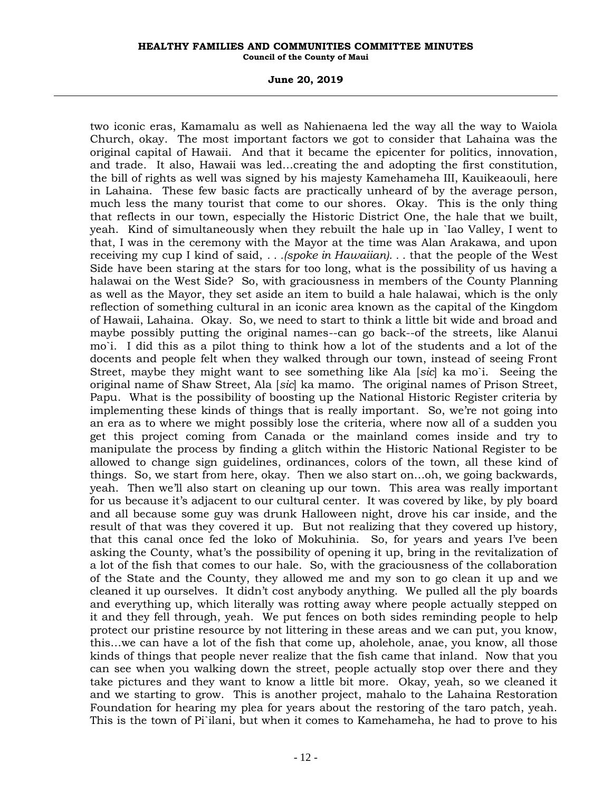### **June 20, 2019**

two iconic eras, Kamamalu as well as Nahienaena led the way all the way to Waiola Church, okay. The most important factors we got to consider that Lahaina was the original capital of Hawaii. And that it became the epicenter for politics, innovation, and trade. It also, Hawaii was led…creating the and adopting the first constitution, the bill of rights as well was signed by his majesty Kamehameha III, Kauikeaouli, here in Lahaina. These few basic facts are practically unheard of by the average person, much less the many tourist that come to our shores. Okay. This is the only thing that reflects in our town, especially the Historic District One, the hale that we built, yeah. Kind of simultaneously when they rebuilt the hale up in `Iao Valley, I went to that, I was in the ceremony with the Mayor at the time was Alan Arakawa, and upon receiving my cup I kind of said, *. . .(spoke in Hawaiian). . .* that the people of the West Side have been staring at the stars for too long, what is the possibility of us having a halawai on the West Side? So, with graciousness in members of the County Planning as well as the Mayor, they set aside an item to build a hale halawai, which is the only reflection of something cultural in an iconic area known as the capital of the Kingdom of Hawaii, Lahaina. Okay. So, we need to start to think a little bit wide and broad and maybe possibly putting the original names--can go back--of the streets, like Alanui mo`i. I did this as a pilot thing to think how a lot of the students and a lot of the docents and people felt when they walked through our town, instead of seeing Front Street, maybe they might want to see something like Ala [*sic*] ka mo`i. Seeing the original name of Shaw Street, Ala [*sic*] ka mamo. The original names of Prison Street, Papu. What is the possibility of boosting up the National Historic Register criteria by implementing these kinds of things that is really important. So, we're not going into an era as to where we might possibly lose the criteria, where now all of a sudden you get this project coming from Canada or the mainland comes inside and try to manipulate the process by finding a glitch within the Historic National Register to be allowed to change sign guidelines, ordinances, colors of the town, all these kind of things. So, we start from here, okay. Then we also start on…oh, we going backwards, yeah. Then we'll also start on cleaning up our town. This area was really important for us because it's adjacent to our cultural center. It was covered by like, by ply board and all because some guy was drunk Halloween night, drove his car inside, and the result of that was they covered it up. But not realizing that they covered up history, that this canal once fed the loko of Mokuhinia. So, for years and years I've been asking the County, what's the possibility of opening it up, bring in the revitalization of a lot of the fish that comes to our hale. So, with the graciousness of the collaboration of the State and the County, they allowed me and my son to go clean it up and we cleaned it up ourselves. It didn't cost anybody anything. We pulled all the ply boards and everything up, which literally was rotting away where people actually stepped on it and they fell through, yeah. We put fences on both sides reminding people to help protect our pristine resource by not littering in these areas and we can put, you know, this…we can have a lot of the fish that come up, aholehole, anae, you know, all those kinds of things that people never realize that the fish came that inland. Now that you can see when you walking down the street, people actually stop over there and they take pictures and they want to know a little bit more. Okay, yeah, so we cleaned it and we starting to grow. This is another project, mahalo to the Lahaina Restoration Foundation for hearing my plea for years about the restoring of the taro patch, yeah. This is the town of Pi`ilani, but when it comes to Kamehameha, he had to prove to his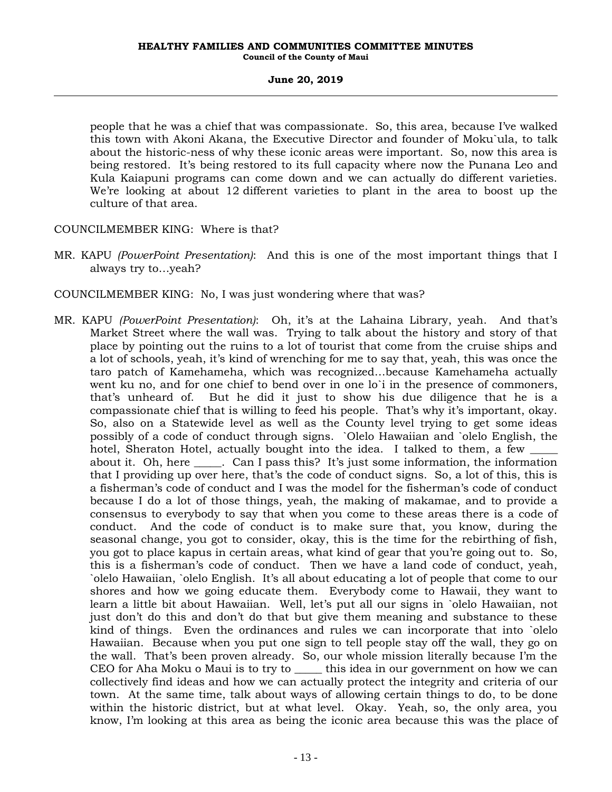people that he was a chief that was compassionate. So, this area, because I've walked this town with Akoni Akana, the Executive Director and founder of Moku`ula, to talk about the historic-ness of why these iconic areas were important. So, now this area is being restored. It's being restored to its full capacity where now the Punana Leo and Kula Kaiapuni programs can come down and we can actually do different varieties. We're looking at about 12 different varieties to plant in the area to boost up the culture of that area.

COUNCILMEMBER KING: Where is that?

MR. KAPU *(PowerPoint Presentation)*: And this is one of the most important things that I always try to…yeah?

COUNCILMEMBER KING: No, I was just wondering where that was?

MR. KAPU *(PowerPoint Presentation)*: Oh, it's at the Lahaina Library, yeah. And that's Market Street where the wall was. Trying to talk about the history and story of that place by pointing out the ruins to a lot of tourist that come from the cruise ships and a lot of schools, yeah, it's kind of wrenching for me to say that, yeah, this was once the taro patch of Kamehameha, which was recognized…because Kamehameha actually went ku no, and for one chief to bend over in one lo`i in the presence of commoners, that's unheard of. But he did it just to show his due diligence that he is a compassionate chief that is willing to feed his people. That's why it's important, okay. So, also on a Statewide level as well as the County level trying to get some ideas possibly of a code of conduct through signs. `Olelo Hawaiian and `olelo English, the hotel, Sheraton Hotel, actually bought into the idea. I talked to them, a few \_\_\_\_\_ about it. Oh, here \_\_\_\_\_. Can I pass this? It's just some information, the information that I providing up over here, that's the code of conduct signs. So, a lot of this, this is a fisherman's code of conduct and I was the model for the fisherman's code of conduct because I do a lot of those things, yeah, the making of makamae, and to provide a consensus to everybody to say that when you come to these areas there is a code of conduct. And the code of conduct is to make sure that, you know, during the seasonal change, you got to consider, okay, this is the time for the rebirthing of fish, you got to place kapus in certain areas, what kind of gear that you're going out to. So, this is a fisherman's code of conduct. Then we have a land code of conduct, yeah, `olelo Hawaiian, `olelo English. It's all about educating a lot of people that come to our shores and how we going educate them. Everybody come to Hawaii, they want to learn a little bit about Hawaiian. Well, let's put all our signs in `olelo Hawaiian, not just don't do this and don't do that but give them meaning and substance to these kind of things. Even the ordinances and rules we can incorporate that into `olelo Hawaiian. Because when you put one sign to tell people stay off the wall, they go on the wall. That's been proven already. So, our whole mission literally because I'm the CEO for Aha Moku o Maui is to try to \_\_\_\_\_ this idea in our government on how we can collectively find ideas and how we can actually protect the integrity and criteria of our town. At the same time, talk about ways of allowing certain things to do, to be done within the historic district, but at what level. Okay. Yeah, so, the only area, you know, I'm looking at this area as being the iconic area because this was the place of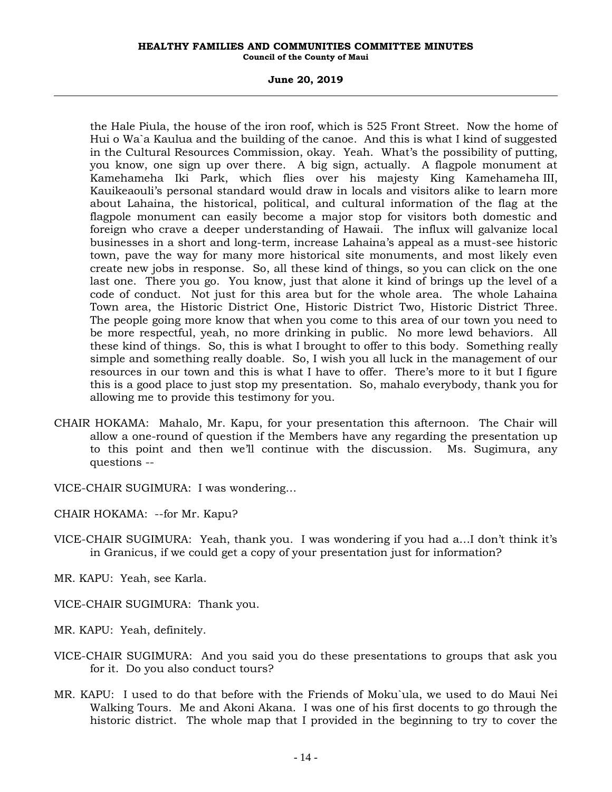### **June 20, 2019**

the Hale Piula, the house of the iron roof, which is 525 Front Street. Now the home of Hui o Wa`a Kaulua and the building of the canoe. And this is what I kind of suggested in the Cultural Resources Commission, okay. Yeah. What's the possibility of putting, you know, one sign up over there. A big sign, actually. A flagpole monument at Kamehameha Iki Park, which flies over his majesty King Kamehameha III, Kauikeaouli's personal standard would draw in locals and visitors alike to learn more about Lahaina, the historical, political, and cultural information of the flag at the flagpole monument can easily become a major stop for visitors both domestic and foreign who crave a deeper understanding of Hawaii. The influx will galvanize local businesses in a short and long-term, increase Lahaina's appeal as a must-see historic town, pave the way for many more historical site monuments, and most likely even create new jobs in response. So, all these kind of things, so you can click on the one last one. There you go. You know, just that alone it kind of brings up the level of a code of conduct. Not just for this area but for the whole area. The whole Lahaina Town area, the Historic District One, Historic District Two, Historic District Three. The people going more know that when you come to this area of our town you need to be more respectful, yeah, no more drinking in public. No more lewd behaviors. All these kind of things. So, this is what I brought to offer to this body. Something really simple and something really doable. So, I wish you all luck in the management of our resources in our town and this is what I have to offer. There's more to it but I figure this is a good place to just stop my presentation. So, mahalo everybody, thank you for allowing me to provide this testimony for you.

- CHAIR HOKAMA: Mahalo, Mr. Kapu, for your presentation this afternoon. The Chair will allow a one-round of question if the Members have any regarding the presentation up to this point and then we'll continue with the discussion. Ms. Sugimura, any questions --
- VICE-CHAIR SUGIMURA: I was wondering…
- CHAIR HOKAMA: --for Mr. Kapu?
- VICE-CHAIR SUGIMURA: Yeah, thank you. I was wondering if you had a…I don't think it's in Granicus, if we could get a copy of your presentation just for information?
- MR. KAPU: Yeah, see Karla.
- VICE-CHAIR SUGIMURA: Thank you.
- MR. KAPU: Yeah, definitely.
- VICE-CHAIR SUGIMURA: And you said you do these presentations to groups that ask you for it. Do you also conduct tours?
- MR. KAPU: I used to do that before with the Friends of Moku`ula, we used to do Maui Nei Walking Tours. Me and Akoni Akana. I was one of his first docents to go through the historic district. The whole map that I provided in the beginning to try to cover the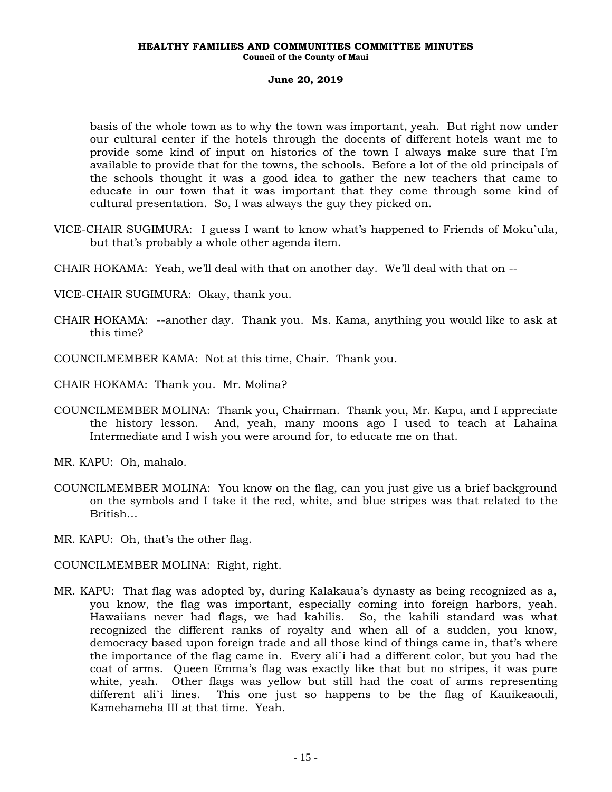basis of the whole town as to why the town was important, yeah. But right now under our cultural center if the hotels through the docents of different hotels want me to provide some kind of input on historics of the town I always make sure that I'm available to provide that for the towns, the schools. Before a lot of the old principals of the schools thought it was a good idea to gather the new teachers that came to educate in our town that it was important that they come through some kind of cultural presentation. So, I was always the guy they picked on.

- VICE-CHAIR SUGIMURA: I guess I want to know what's happened to Friends of Moku`ula, but that's probably a whole other agenda item.
- CHAIR HOKAMA: Yeah, we'll deal with that on another day. We'll deal with that on --
- VICE-CHAIR SUGIMURA: Okay, thank you.
- CHAIR HOKAMA: --another day. Thank you. Ms. Kama, anything you would like to ask at this time?
- COUNCILMEMBER KAMA: Not at this time, Chair. Thank you.
- CHAIR HOKAMA: Thank you. Mr. Molina?
- COUNCILMEMBER MOLINA: Thank you, Chairman. Thank you, Mr. Kapu, and I appreciate the history lesson. And, yeah, many moons ago I used to teach at Lahaina Intermediate and I wish you were around for, to educate me on that.
- MR. KAPU: Oh, mahalo.
- COUNCILMEMBER MOLINA: You know on the flag, can you just give us a brief background on the symbols and I take it the red, white, and blue stripes was that related to the British…
- MR. KAPU: Oh, that's the other flag.
- COUNCILMEMBER MOLINA: Right, right.
- MR. KAPU: That flag was adopted by, during Kalakaua's dynasty as being recognized as a, you know, the flag was important, especially coming into foreign harbors, yeah. Hawaiians never had flags, we had kahilis. So, the kahili standard was what recognized the different ranks of royalty and when all of a sudden, you know, democracy based upon foreign trade and all those kind of things came in, that's where the importance of the flag came in. Every ali`i had a different color, but you had the coat of arms. Queen Emma's flag was exactly like that but no stripes, it was pure white, yeah. Other flags was yellow but still had the coat of arms representing different ali`i lines. This one just so happens to be the flag of Kauikeaouli, Kamehameha III at that time. Yeah.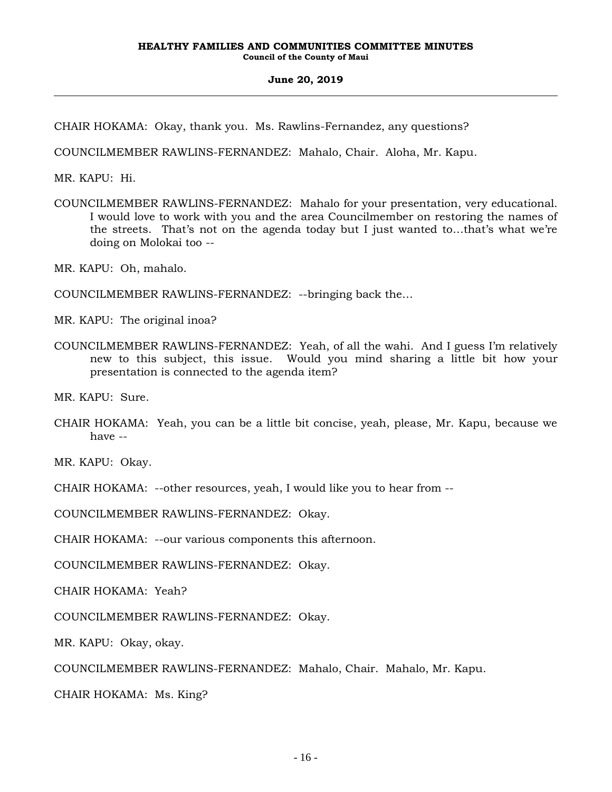CHAIR HOKAMA: Okay, thank you. Ms. Rawlins-Fernandez, any questions?

COUNCILMEMBER RAWLINS-FERNANDEZ: Mahalo, Chair. Aloha, Mr. Kapu.

MR. KAPU: Hi.

COUNCILMEMBER RAWLINS-FERNANDEZ: Mahalo for your presentation, very educational. I would love to work with you and the area Councilmember on restoring the names of the streets. That's not on the agenda today but I just wanted to…that's what we're doing on Molokai too --

MR. KAPU: Oh, mahalo.

COUNCILMEMBER RAWLINS-FERNANDEZ: --bringing back the…

MR. KAPU: The original inoa?

COUNCILMEMBER RAWLINS-FERNANDEZ: Yeah, of all the wahi. And I guess I'm relatively new to this subject, this issue. Would you mind sharing a little bit how your presentation is connected to the agenda item?

MR. KAPU: Sure.

CHAIR HOKAMA: Yeah, you can be a little bit concise, yeah, please, Mr. Kapu, because we have --

MR. KAPU: Okay.

CHAIR HOKAMA: --other resources, yeah, I would like you to hear from --

COUNCILMEMBER RAWLINS-FERNANDEZ: Okay.

CHAIR HOKAMA: --our various components this afternoon.

COUNCILMEMBER RAWLINS-FERNANDEZ: Okay.

CHAIR HOKAMA: Yeah?

COUNCILMEMBER RAWLINS-FERNANDEZ: Okay.

MR. KAPU: Okay, okay.

COUNCILMEMBER RAWLINS-FERNANDEZ: Mahalo, Chair. Mahalo, Mr. Kapu.

CHAIR HOKAMA: Ms. King?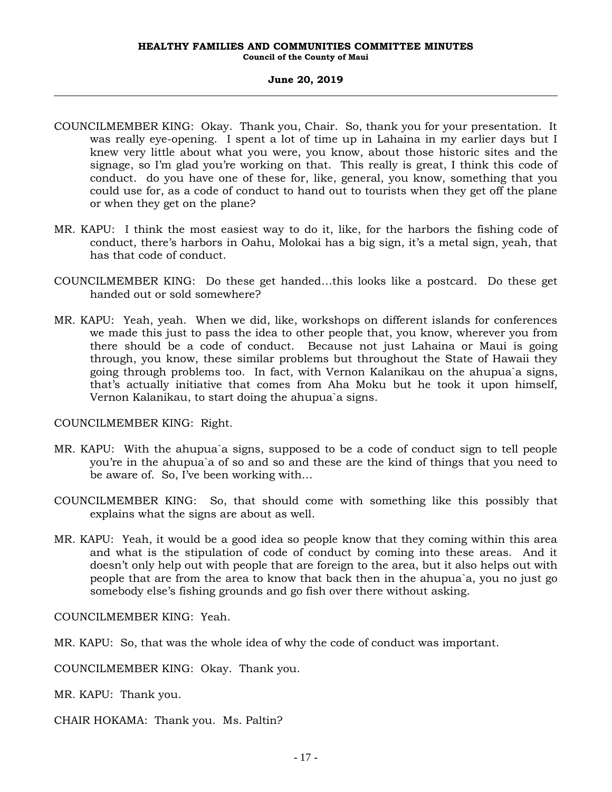- COUNCILMEMBER KING: Okay. Thank you, Chair. So, thank you for your presentation. It was really eye-opening. I spent a lot of time up in Lahaina in my earlier days but I knew very little about what you were, you know, about those historic sites and the signage, so I'm glad you're working on that. This really is great, I think this code of conduct. do you have one of these for, like, general, you know, something that you could use for, as a code of conduct to hand out to tourists when they get off the plane or when they get on the plane?
- MR. KAPU: I think the most easiest way to do it, like, for the harbors the fishing code of conduct, there's harbors in Oahu, Molokai has a big sign, it's a metal sign, yeah, that has that code of conduct.
- COUNCILMEMBER KING: Do these get handed…this looks like a postcard. Do these get handed out or sold somewhere?
- MR. KAPU: Yeah, yeah. When we did, like, workshops on different islands for conferences we made this just to pass the idea to other people that, you know, wherever you from there should be a code of conduct. Because not just Lahaina or Maui is going through, you know, these similar problems but throughout the State of Hawaii they going through problems too. In fact, with Vernon Kalanikau on the ahupua`a signs, that's actually initiative that comes from Aha Moku but he took it upon himself, Vernon Kalanikau, to start doing the ahupua`a signs.

COUNCILMEMBER KING: Right.

- MR. KAPU: With the ahupua`a signs, supposed to be a code of conduct sign to tell people you're in the ahupua`a of so and so and these are the kind of things that you need to be aware of. So, I've been working with…
- COUNCILMEMBER KING: So, that should come with something like this possibly that explains what the signs are about as well.
- MR. KAPU: Yeah, it would be a good idea so people know that they coming within this area and what is the stipulation of code of conduct by coming into these areas. And it doesn't only help out with people that are foreign to the area, but it also helps out with people that are from the area to know that back then in the ahupua`a, you no just go somebody else's fishing grounds and go fish over there without asking.

COUNCILMEMBER KING: Yeah.

MR. KAPU: So, that was the whole idea of why the code of conduct was important.

COUNCILMEMBER KING: Okay. Thank you.

MR. KAPU: Thank you.

CHAIR HOKAMA: Thank you. Ms. Paltin?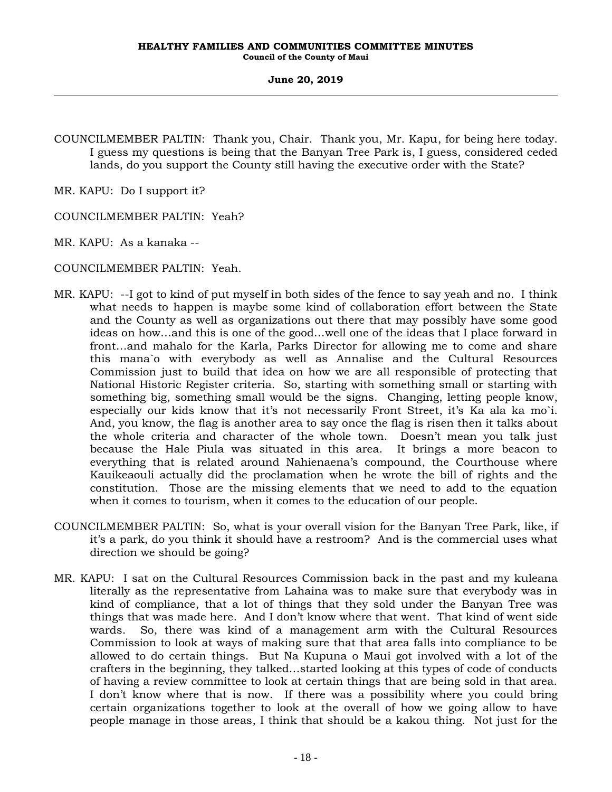COUNCILMEMBER PALTIN: Thank you, Chair. Thank you, Mr. Kapu, for being here today. I guess my questions is being that the Banyan Tree Park is, I guess, considered ceded lands, do you support the County still having the executive order with the State?

MR. KAPU: Do I support it?

COUNCILMEMBER PALTIN: Yeah?

MR. KAPU: As a kanaka --

COUNCILMEMBER PALTIN: Yeah.

- MR. KAPU: --I got to kind of put myself in both sides of the fence to say yeah and no. I think what needs to happen is maybe some kind of collaboration effort between the State and the County as well as organizations out there that may possibly have some good ideas on how…and this is one of the good…well one of the ideas that I place forward in front…and mahalo for the Karla, Parks Director for allowing me to come and share this mana`o with everybody as well as Annalise and the Cultural Resources Commission just to build that idea on how we are all responsible of protecting that National Historic Register criteria. So, starting with something small or starting with something big, something small would be the signs. Changing, letting people know, especially our kids know that it's not necessarily Front Street, it's Ka ala ka mo`i. And, you know, the flag is another area to say once the flag is risen then it talks about the whole criteria and character of the whole town. Doesn't mean you talk just because the Hale Piula was situated in this area. It brings a more beacon to everything that is related around Nahienaena's compound, the Courthouse where Kauikeaouli actually did the proclamation when he wrote the bill of rights and the constitution. Those are the missing elements that we need to add to the equation when it comes to tourism, when it comes to the education of our people.
- COUNCILMEMBER PALTIN: So, what is your overall vision for the Banyan Tree Park, like, if it's a park, do you think it should have a restroom? And is the commercial uses what direction we should be going?
- MR. KAPU: I sat on the Cultural Resources Commission back in the past and my kuleana literally as the representative from Lahaina was to make sure that everybody was in kind of compliance, that a lot of things that they sold under the Banyan Tree was things that was made here. And I don't know where that went. That kind of went side wards. So, there was kind of a management arm with the Cultural Resources Commission to look at ways of making sure that that area falls into compliance to be allowed to do certain things. But Na Kupuna o Maui got involved with a lot of the crafters in the beginning, they talked…started looking at this types of code of conducts of having a review committee to look at certain things that are being sold in that area. I don't know where that is now. If there was a possibility where you could bring certain organizations together to look at the overall of how we going allow to have people manage in those areas, I think that should be a kakou thing. Not just for the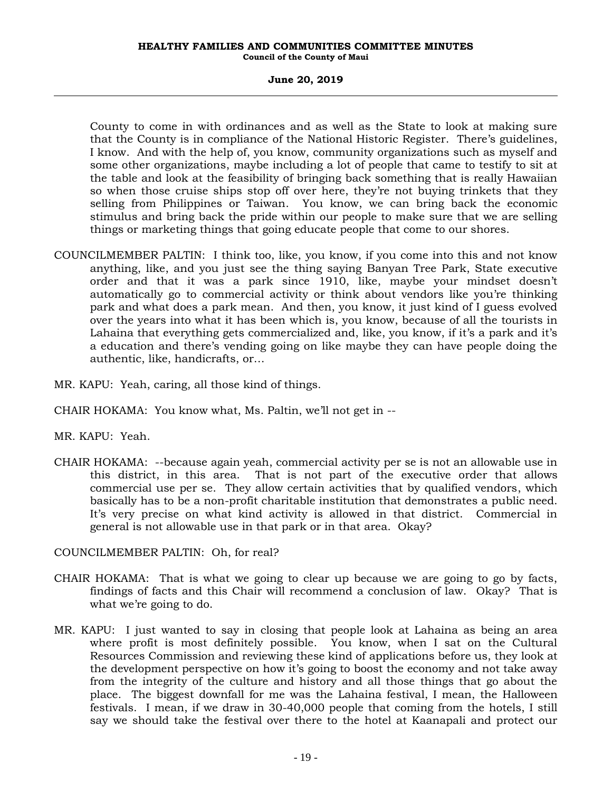### **June 20, 2019**

County to come in with ordinances and as well as the State to look at making sure that the County is in compliance of the National Historic Register. There's guidelines, I know. And with the help of, you know, community organizations such as myself and some other organizations, maybe including a lot of people that came to testify to sit at the table and look at the feasibility of bringing back something that is really Hawaiian so when those cruise ships stop off over here, they're not buying trinkets that they selling from Philippines or Taiwan. You know, we can bring back the economic stimulus and bring back the pride within our people to make sure that we are selling things or marketing things that going educate people that come to our shores.

- COUNCILMEMBER PALTIN: I think too, like, you know, if you come into this and not know anything, like, and you just see the thing saying Banyan Tree Park, State executive order and that it was a park since 1910, like, maybe your mindset doesn't automatically go to commercial activity or think about vendors like you're thinking park and what does a park mean. And then, you know, it just kind of I guess evolved over the years into what it has been which is, you know, because of all the tourists in Lahaina that everything gets commercialized and, like, you know, if it's a park and it's a education and there's vending going on like maybe they can have people doing the authentic, like, handicrafts, or…
- MR. KAPU: Yeah, caring, all those kind of things.
- CHAIR HOKAMA: You know what, Ms. Paltin, we'll not get in --
- MR. KAPU: Yeah.
- CHAIR HOKAMA: --because again yeah, commercial activity per se is not an allowable use in this district, in this area. That is not part of the executive order that allows commercial use per se. They allow certain activities that by qualified vendors, which basically has to be a non-profit charitable institution that demonstrates a public need. It's very precise on what kind activity is allowed in that district. Commercial in general is not allowable use in that park or in that area. Okay?

COUNCILMEMBER PALTIN: Oh, for real?

- CHAIR HOKAMA: That is what we going to clear up because we are going to go by facts, findings of facts and this Chair will recommend a conclusion of law. Okay? That is what we're going to do.
- MR. KAPU: I just wanted to say in closing that people look at Lahaina as being an area where profit is most definitely possible. You know, when I sat on the Cultural Resources Commission and reviewing these kind of applications before us, they look at the development perspective on how it's going to boost the economy and not take away from the integrity of the culture and history and all those things that go about the place. The biggest downfall for me was the Lahaina festival, I mean, the Halloween festivals. I mean, if we draw in 30-40,000 people that coming from the hotels, I still say we should take the festival over there to the hotel at Kaanapali and protect our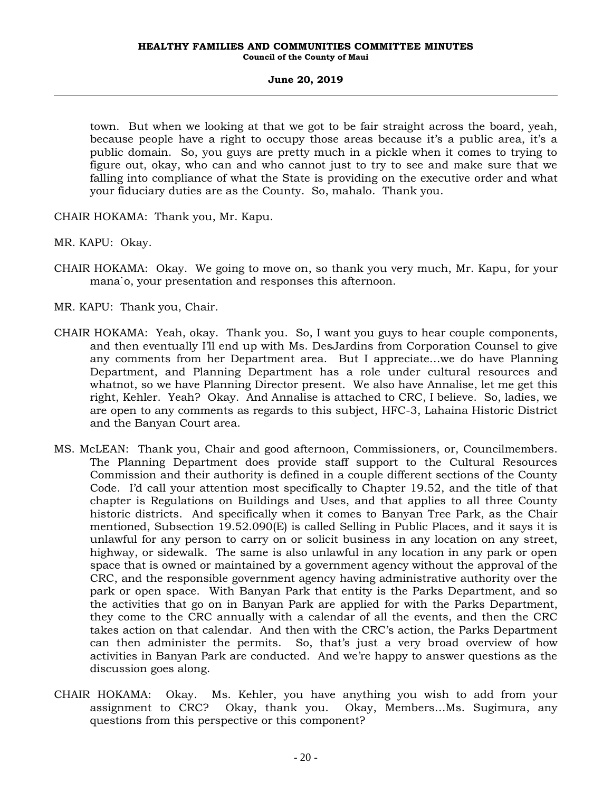town. But when we looking at that we got to be fair straight across the board, yeah, because people have a right to occupy those areas because it's a public area, it's a public domain. So, you guys are pretty much in a pickle when it comes to trying to figure out, okay, who can and who cannot just to try to see and make sure that we falling into compliance of what the State is providing on the executive order and what your fiduciary duties are as the County. So, mahalo. Thank you.

CHAIR HOKAMA: Thank you, Mr. Kapu.

MR. KAPU: Okay.

CHAIR HOKAMA: Okay. We going to move on, so thank you very much, Mr. Kapu, for your mana`o, your presentation and responses this afternoon.

MR. KAPU: Thank you, Chair.

- CHAIR HOKAMA: Yeah, okay. Thank you. So, I want you guys to hear couple components, and then eventually I'll end up with Ms. DesJardins from Corporation Counsel to give any comments from her Department area. But I appreciate…we do have Planning Department, and Planning Department has a role under cultural resources and whatnot, so we have Planning Director present. We also have Annalise, let me get this right, Kehler. Yeah? Okay. And Annalise is attached to CRC, I believe. So, ladies, we are open to any comments as regards to this subject, HFC-3, Lahaina Historic District and the Banyan Court area.
- MS. McLEAN: Thank you, Chair and good afternoon, Commissioners, or, Councilmembers. The Planning Department does provide staff support to the Cultural Resources Commission and their authority is defined in a couple different sections of the County Code. I'd call your attention most specifically to Chapter 19.52, and the title of that chapter is Regulations on Buildings and Uses, and that applies to all three County historic districts. And specifically when it comes to Banyan Tree Park, as the Chair mentioned, Subsection 19.52.090(E) is called Selling in Public Places, and it says it is unlawful for any person to carry on or solicit business in any location on any street, highway, or sidewalk. The same is also unlawful in any location in any park or open space that is owned or maintained by a government agency without the approval of the CRC, and the responsible government agency having administrative authority over the park or open space. With Banyan Park that entity is the Parks Department, and so the activities that go on in Banyan Park are applied for with the Parks Department, they come to the CRC annually with a calendar of all the events, and then the CRC takes action on that calendar. And then with the CRC's action, the Parks Department can then administer the permits. So, that's just a very broad overview of how activities in Banyan Park are conducted. And we're happy to answer questions as the discussion goes along.
- CHAIR HOKAMA: Okay. Ms. Kehler, you have anything you wish to add from your assignment to CRC? Okay, thank you. Okay, Members…Ms. Sugimura, any questions from this perspective or this component?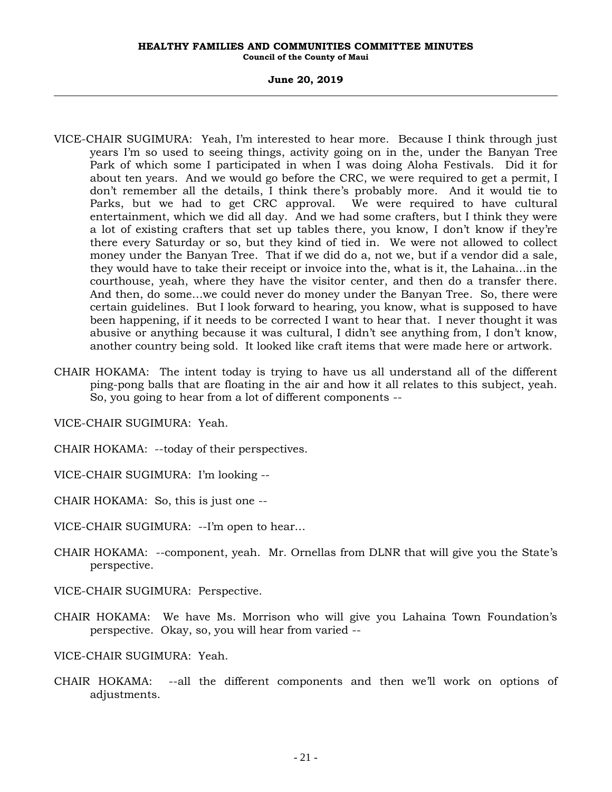- VICE-CHAIR SUGIMURA: Yeah, I'm interested to hear more. Because I think through just years I'm so used to seeing things, activity going on in the, under the Banyan Tree Park of which some I participated in when I was doing Aloha Festivals. Did it for about ten years. And we would go before the CRC, we were required to get a permit, I don't remember all the details, I think there's probably more. And it would tie to Parks, but we had to get CRC approval. We were required to have cultural entertainment, which we did all day. And we had some crafters, but I think they were a lot of existing crafters that set up tables there, you know, I don't know if they're there every Saturday or so, but they kind of tied in. We were not allowed to collect money under the Banyan Tree. That if we did do a, not we, but if a vendor did a sale, they would have to take their receipt or invoice into the, what is it, the Lahaina…in the courthouse, yeah, where they have the visitor center, and then do a transfer there. And then, do some…we could never do money under the Banyan Tree. So, there were certain guidelines. But I look forward to hearing, you know, what is supposed to have been happening, if it needs to be corrected I want to hear that. I never thought it was abusive or anything because it was cultural, I didn't see anything from, I don't know, another country being sold. It looked like craft items that were made here or artwork.
- CHAIR HOKAMA: The intent today is trying to have us all understand all of the different ping-pong balls that are floating in the air and how it all relates to this subject, yeah. So, you going to hear from a lot of different components --

VICE-CHAIR SUGIMURA: Yeah.

CHAIR HOKAMA: --today of their perspectives.

- VICE-CHAIR SUGIMURA: I'm looking --
- CHAIR HOKAMA: So, this is just one --
- VICE-CHAIR SUGIMURA: --I'm open to hear…
- CHAIR HOKAMA: --component, yeah. Mr. Ornellas from DLNR that will give you the State's perspective.
- VICE-CHAIR SUGIMURA: Perspective.
- CHAIR HOKAMA: We have Ms. Morrison who will give you Lahaina Town Foundation's perspective. Okay, so, you will hear from varied --
- VICE-CHAIR SUGIMURA: Yeah.
- CHAIR HOKAMA: --all the different components and then we'll work on options of adjustments.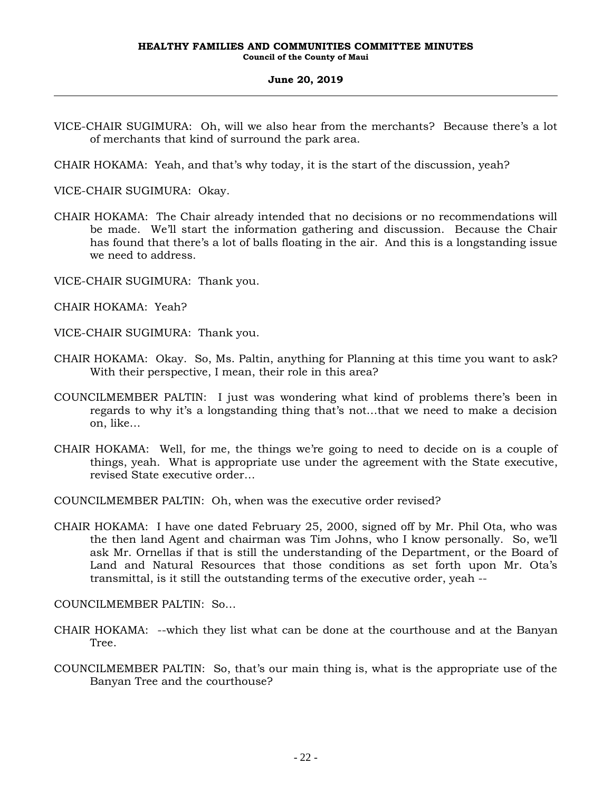VICE-CHAIR SUGIMURA: Oh, will we also hear from the merchants? Because there's a lot of merchants that kind of surround the park area.

CHAIR HOKAMA: Yeah, and that's why today, it is the start of the discussion, yeah?

VICE-CHAIR SUGIMURA: Okay.

- CHAIR HOKAMA: The Chair already intended that no decisions or no recommendations will be made. We'll start the information gathering and discussion. Because the Chair has found that there's a lot of balls floating in the air. And this is a longstanding issue we need to address.
- VICE-CHAIR SUGIMURA: Thank you.
- CHAIR HOKAMA: Yeah?

VICE-CHAIR SUGIMURA: Thank you.

- CHAIR HOKAMA: Okay. So, Ms. Paltin, anything for Planning at this time you want to ask? With their perspective, I mean, their role in this area?
- COUNCILMEMBER PALTIN: I just was wondering what kind of problems there's been in regards to why it's a longstanding thing that's not…that we need to make a decision on, like…
- CHAIR HOKAMA: Well, for me, the things we're going to need to decide on is a couple of things, yeah. What is appropriate use under the agreement with the State executive, revised State executive order…

COUNCILMEMBER PALTIN: Oh, when was the executive order revised?

CHAIR HOKAMA: I have one dated February 25, 2000, signed off by Mr. Phil Ota, who was the then land Agent and chairman was Tim Johns, who I know personally. So, we'll ask Mr. Ornellas if that is still the understanding of the Department, or the Board of Land and Natural Resources that those conditions as set forth upon Mr. Ota's transmittal, is it still the outstanding terms of the executive order, yeah --

COUNCILMEMBER PALTIN: So…

- CHAIR HOKAMA: --which they list what can be done at the courthouse and at the Banyan Tree.
- COUNCILMEMBER PALTIN: So, that's our main thing is, what is the appropriate use of the Banyan Tree and the courthouse?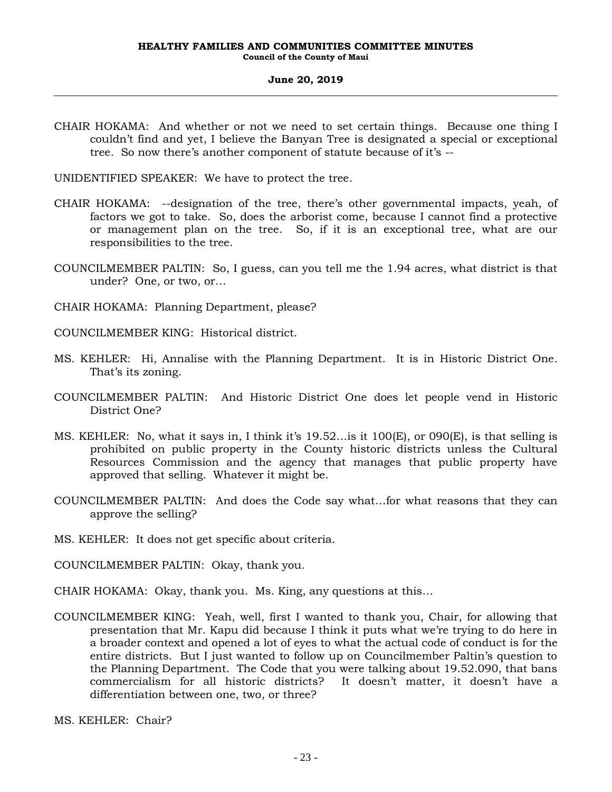CHAIR HOKAMA: And whether or not we need to set certain things. Because one thing I couldn't find and yet, I believe the Banyan Tree is designated a special or exceptional tree. So now there's another component of statute because of it's --

UNIDENTIFIED SPEAKER: We have to protect the tree.

- CHAIR HOKAMA: --designation of the tree, there's other governmental impacts, yeah, of factors we got to take. So, does the arborist come, because I cannot find a protective or management plan on the tree. So, if it is an exceptional tree, what are our responsibilities to the tree.
- COUNCILMEMBER PALTIN: So, I guess, can you tell me the 1.94 acres, what district is that under? One, or two, or…
- CHAIR HOKAMA: Planning Department, please?
- COUNCILMEMBER KING: Historical district.
- MS. KEHLER: Hi, Annalise with the Planning Department. It is in Historic District One. That's its zoning.
- COUNCILMEMBER PALTIN: And Historic District One does let people vend in Historic District One?
- MS. KEHLER: No, what it says in, I think it's 19.52…is it 100(E), or 090(E), is that selling is prohibited on public property in the County historic districts unless the Cultural Resources Commission and the agency that manages that public property have approved that selling. Whatever it might be.
- COUNCILMEMBER PALTIN: And does the Code say what…for what reasons that they can approve the selling?
- MS. KEHLER: It does not get specific about criteria.
- COUNCILMEMBER PALTIN: Okay, thank you.
- CHAIR HOKAMA: Okay, thank you. Ms. King, any questions at this…
- COUNCILMEMBER KING: Yeah, well, first I wanted to thank you, Chair, for allowing that presentation that Mr. Kapu did because I think it puts what we're trying to do here in a broader context and opened a lot of eyes to what the actual code of conduct is for the entire districts. But I just wanted to follow up on Councilmember Paltin's question to the Planning Department. The Code that you were talking about 19.52.090, that bans commercialism for all historic districts? It doesn't matter, it doesn't have a differentiation between one, two, or three?
- MS. KEHLER: Chair?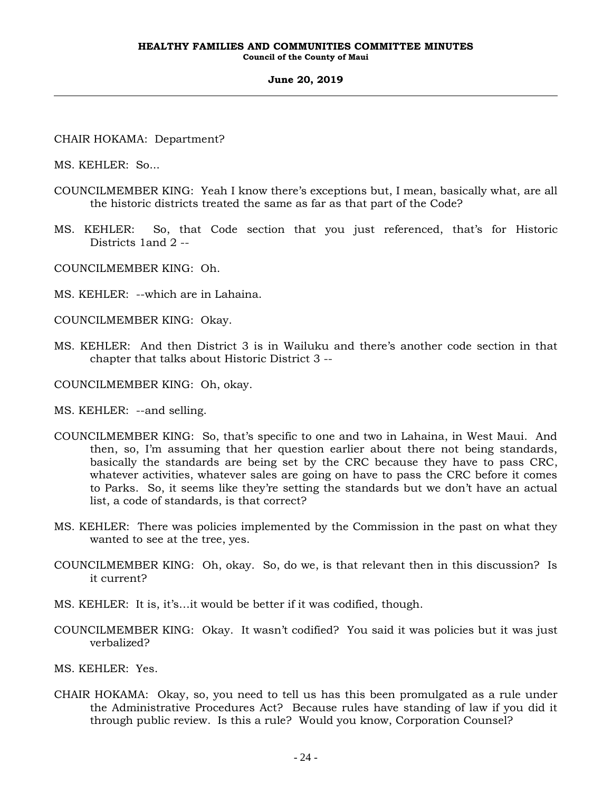CHAIR HOKAMA: Department?

MS. KEHLER: So...

- COUNCILMEMBER KING: Yeah I know there's exceptions but, I mean, basically what, are all the historic districts treated the same as far as that part of the Code?
- MS. KEHLER: So, that Code section that you just referenced, that's for Historic Districts 1and 2 --

COUNCILMEMBER KING: Oh.

- MS. KEHLER: --which are in Lahaina.
- COUNCILMEMBER KING: Okay.
- MS. KEHLER: And then District 3 is in Wailuku and there's another code section in that chapter that talks about Historic District 3 --
- COUNCILMEMBER KING: Oh, okay.
- MS. KEHLER: --and selling.
- COUNCILMEMBER KING: So, that's specific to one and two in Lahaina, in West Maui. And then, so, I'm assuming that her question earlier about there not being standards, basically the standards are being set by the CRC because they have to pass CRC, whatever activities, whatever sales are going on have to pass the CRC before it comes to Parks. So, it seems like they're setting the standards but we don't have an actual list, a code of standards, is that correct?
- MS. KEHLER: There was policies implemented by the Commission in the past on what they wanted to see at the tree, yes.
- COUNCILMEMBER KING: Oh, okay. So, do we, is that relevant then in this discussion? Is it current?
- MS. KEHLER: It is, it's…it would be better if it was codified, though.
- COUNCILMEMBER KING: Okay. It wasn't codified? You said it was policies but it was just verbalized?
- MS. KEHLER: Yes.
- CHAIR HOKAMA: Okay, so, you need to tell us has this been promulgated as a rule under the Administrative Procedures Act? Because rules have standing of law if you did it through public review. Is this a rule? Would you know, Corporation Counsel?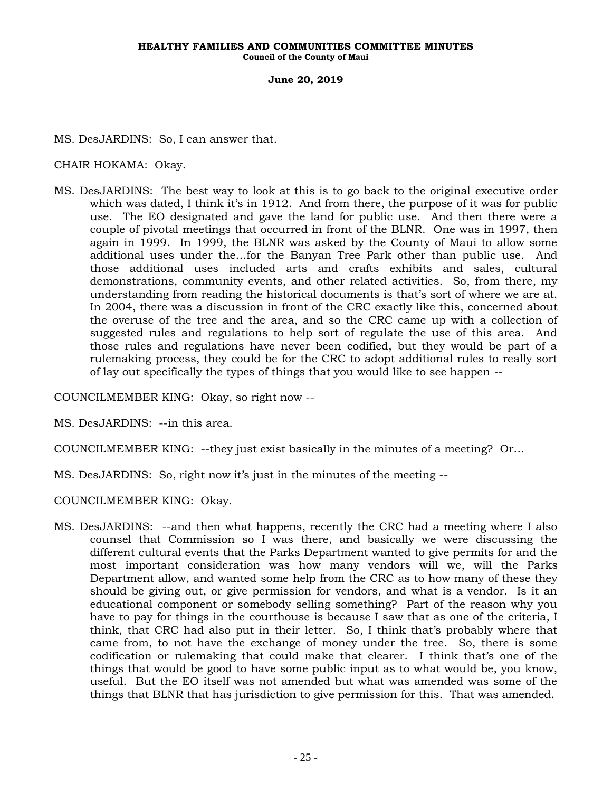MS. DesJARDINS: So, I can answer that.

CHAIR HOKAMA: Okay.

MS. DesJARDINS: The best way to look at this is to go back to the original executive order which was dated, I think it's in 1912. And from there, the purpose of it was for public use. The EO designated and gave the land for public use. And then there were a couple of pivotal meetings that occurred in front of the BLNR. One was in 1997, then again in 1999. In 1999, the BLNR was asked by the County of Maui to allow some additional uses under the…for the Banyan Tree Park other than public use. And those additional uses included arts and crafts exhibits and sales, cultural demonstrations, community events, and other related activities. So, from there, my understanding from reading the historical documents is that's sort of where we are at. In 2004, there was a discussion in front of the CRC exactly like this, concerned about the overuse of the tree and the area, and so the CRC came up with a collection of suggested rules and regulations to help sort of regulate the use of this area. And those rules and regulations have never been codified, but they would be part of a rulemaking process, they could be for the CRC to adopt additional rules to really sort of lay out specifically the types of things that you would like to see happen --

COUNCILMEMBER KING: Okay, so right now --

MS. DesJARDINS: --in this area.

COUNCILMEMBER KING: --they just exist basically in the minutes of a meeting? Or…

MS. DesJARDINS: So, right now it's just in the minutes of the meeting --

COUNCILMEMBER KING: Okay.

MS. DesJARDINS: --and then what happens, recently the CRC had a meeting where I also counsel that Commission so I was there, and basically we were discussing the different cultural events that the Parks Department wanted to give permits for and the most important consideration was how many vendors will we, will the Parks Department allow, and wanted some help from the CRC as to how many of these they should be giving out, or give permission for vendors, and what is a vendor. Is it an educational component or somebody selling something? Part of the reason why you have to pay for things in the courthouse is because I saw that as one of the criteria, I think, that CRC had also put in their letter. So, I think that's probably where that came from, to not have the exchange of money under the tree. So, there is some codification or rulemaking that could make that clearer. I think that's one of the things that would be good to have some public input as to what would be, you know, useful. But the EO itself was not amended but what was amended was some of the things that BLNR that has jurisdiction to give permission for this. That was amended.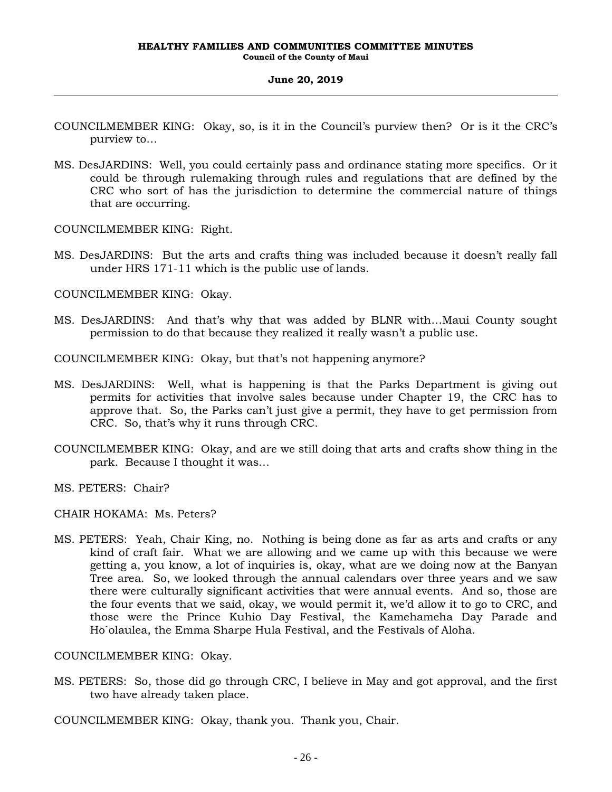- COUNCILMEMBER KING: Okay, so, is it in the Council's purview then? Or is it the CRC's purview to…
- MS. DesJARDINS: Well, you could certainly pass and ordinance stating more specifics. Or it could be through rulemaking through rules and regulations that are defined by the CRC who sort of has the jurisdiction to determine the commercial nature of things that are occurring.

COUNCILMEMBER KING: Right.

MS. DesJARDINS: But the arts and crafts thing was included because it doesn't really fall under HRS 171-11 which is the public use of lands.

COUNCILMEMBER KING: Okay.

MS. DesJARDINS: And that's why that was added by BLNR with…Maui County sought permission to do that because they realized it really wasn't a public use.

COUNCILMEMBER KING: Okay, but that's not happening anymore?

- MS. DesJARDINS: Well, what is happening is that the Parks Department is giving out permits for activities that involve sales because under Chapter 19, the CRC has to approve that. So, the Parks can't just give a permit, they have to get permission from CRC. So, that's why it runs through CRC.
- COUNCILMEMBER KING: Okay, and are we still doing that arts and crafts show thing in the park. Because I thought it was…
- MS. PETERS: Chair?
- CHAIR HOKAMA: Ms. Peters?
- MS. PETERS: Yeah, Chair King, no. Nothing is being done as far as arts and crafts or any kind of craft fair. What we are allowing and we came up with this because we were getting a, you know, a lot of inquiries is, okay, what are we doing now at the Banyan Tree area. So, we looked through the annual calendars over three years and we saw there were culturally significant activities that were annual events. And so, those are the four events that we said, okay, we would permit it, we'd allow it to go to CRC, and those were the Prince Kuhio Day Festival, the Kamehameha Day Parade and Ho`olaulea, the Emma Sharpe Hula Festival, and the Festivals of Aloha.

COUNCILMEMBER KING: Okay.

MS. PETERS: So, those did go through CRC, I believe in May and got approval, and the first two have already taken place.

COUNCILMEMBER KING: Okay, thank you. Thank you, Chair.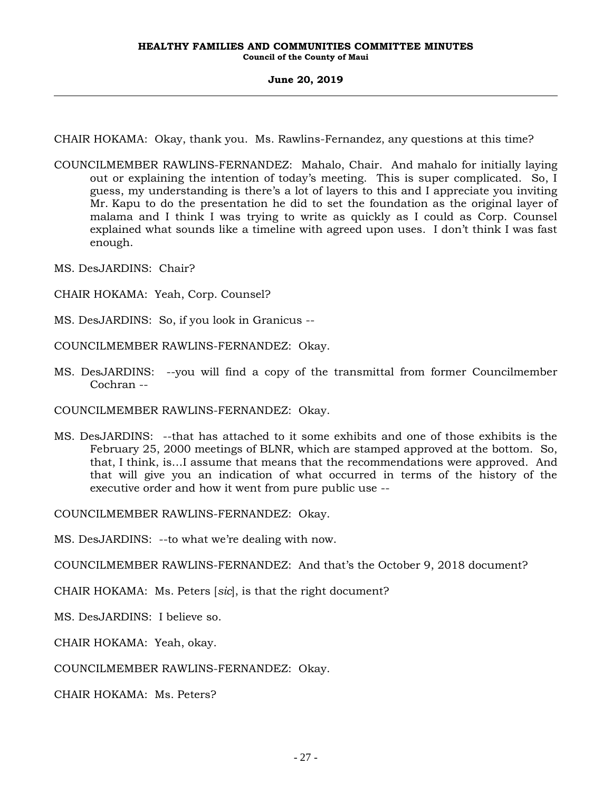CHAIR HOKAMA: Okay, thank you. Ms. Rawlins-Fernandez, any questions at this time?

- COUNCILMEMBER RAWLINS-FERNANDEZ: Mahalo, Chair. And mahalo for initially laying out or explaining the intention of today's meeting. This is super complicated. So, I guess, my understanding is there's a lot of layers to this and I appreciate you inviting Mr. Kapu to do the presentation he did to set the foundation as the original layer of malama and I think I was trying to write as quickly as I could as Corp. Counsel explained what sounds like a timeline with agreed upon uses. I don't think I was fast enough.
- MS. DesJARDINS: Chair?
- CHAIR HOKAMA: Yeah, Corp. Counsel?
- MS. DesJARDINS: So, if you look in Granicus --
- COUNCILMEMBER RAWLINS-FERNANDEZ: Okay.
- MS. DesJARDINS: --you will find a copy of the transmittal from former Councilmember Cochran --

COUNCILMEMBER RAWLINS-FERNANDEZ: Okay.

MS. DesJARDINS: --that has attached to it some exhibits and one of those exhibits is the February 25, 2000 meetings of BLNR, which are stamped approved at the bottom. So, that, I think, is…I assume that means that the recommendations were approved. And that will give you an indication of what occurred in terms of the history of the executive order and how it went from pure public use --

COUNCILMEMBER RAWLINS-FERNANDEZ: Okay.

MS. DesJARDINS: --to what we're dealing with now.

COUNCILMEMBER RAWLINS-FERNANDEZ: And that's the October 9, 2018 document?

- CHAIR HOKAMA: Ms. Peters [*sic*], is that the right document?
- MS. DesJARDINS: I believe so.

CHAIR HOKAMA: Yeah, okay.

COUNCILMEMBER RAWLINS-FERNANDEZ: Okay.

CHAIR HOKAMA: Ms. Peters?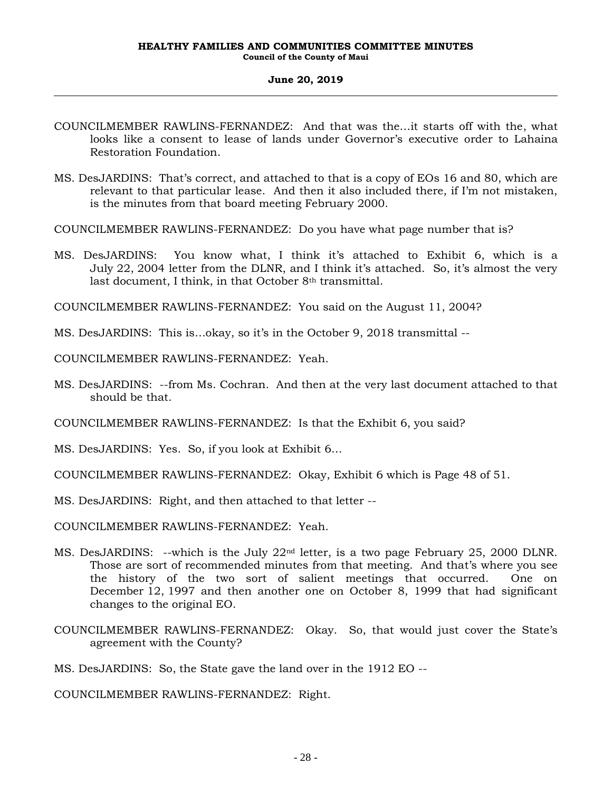- COUNCILMEMBER RAWLINS-FERNANDEZ: And that was the…it starts off with the, what looks like a consent to lease of lands under Governor's executive order to Lahaina Restoration Foundation.
- MS. DesJARDINS: That's correct, and attached to that is a copy of EOs 16 and 80, which are relevant to that particular lease. And then it also included there, if I'm not mistaken, is the minutes from that board meeting February 2000.
- COUNCILMEMBER RAWLINS-FERNANDEZ: Do you have what page number that is?
- MS. DesJARDINS: You know what, I think it's attached to Exhibit 6, which is a July 22, 2004 letter from the DLNR, and I think it's attached. So, it's almost the very last document, I think, in that October 8<sup>th</sup> transmittal.

COUNCILMEMBER RAWLINS-FERNANDEZ: You said on the August 11, 2004?

- MS. DesJARDINS: This is…okay, so it's in the October 9, 2018 transmittal --
- COUNCILMEMBER RAWLINS-FERNANDEZ: Yeah.
- MS. DesJARDINS: --from Ms. Cochran. And then at the very last document attached to that should be that.
- COUNCILMEMBER RAWLINS-FERNANDEZ: Is that the Exhibit 6, you said?
- MS. DesJARDINS: Yes. So, if you look at Exhibit 6…
- COUNCILMEMBER RAWLINS-FERNANDEZ: Okay, Exhibit 6 which is Page 48 of 51.
- MS. DesJARDINS: Right, and then attached to that letter --
- COUNCILMEMBER RAWLINS-FERNANDEZ: Yeah.
- MS. DesJARDINS: --which is the July 22nd letter, is a two page February 25, 2000 DLNR. Those are sort of recommended minutes from that meeting. And that's where you see the history of the two sort of salient meetings that occurred. One on December 12, 1997 and then another one on October 8, 1999 that had significant changes to the original EO.
- COUNCILMEMBER RAWLINS-FERNANDEZ: Okay. So, that would just cover the State's agreement with the County?

MS. DesJARDINS: So, the State gave the land over in the 1912 EO --

COUNCILMEMBER RAWLINS-FERNANDEZ: Right.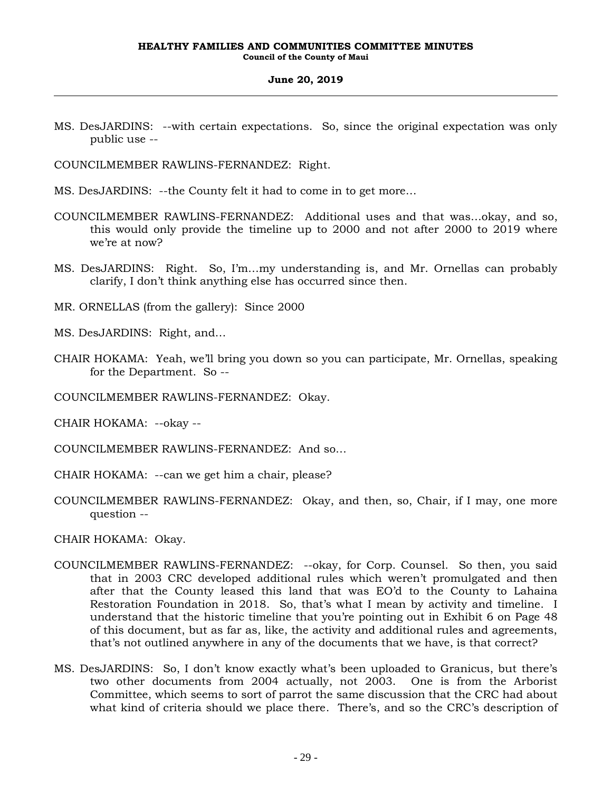MS. DesJARDINS: --with certain expectations. So, since the original expectation was only public use --

COUNCILMEMBER RAWLINS-FERNANDEZ: Right.

- MS. DesJARDINS: --the County felt it had to come in to get more…
- COUNCILMEMBER RAWLINS-FERNANDEZ: Additional uses and that was…okay, and so, this would only provide the timeline up to 2000 and not after 2000 to 2019 where we're at now?
- MS. DesJARDINS: Right. So, I'm…my understanding is, and Mr. Ornellas can probably clarify, I don't think anything else has occurred since then.
- MR. ORNELLAS (from the gallery): Since 2000
- MS. DesJARDINS: Right, and…
- CHAIR HOKAMA: Yeah, we'll bring you down so you can participate, Mr. Ornellas, speaking for the Department. So --
- COUNCILMEMBER RAWLINS-FERNANDEZ: Okay.
- CHAIR HOKAMA: --okay --
- COUNCILMEMBER RAWLINS-FERNANDEZ: And so…
- CHAIR HOKAMA: --can we get him a chair, please?
- COUNCILMEMBER RAWLINS-FERNANDEZ: Okay, and then, so, Chair, if I may, one more question --

CHAIR HOKAMA: Okay.

- COUNCILMEMBER RAWLINS-FERNANDEZ: --okay, for Corp. Counsel. So then, you said that in 2003 CRC developed additional rules which weren't promulgated and then after that the County leased this land that was EO'd to the County to Lahaina Restoration Foundation in 2018. So, that's what I mean by activity and timeline. I understand that the historic timeline that you're pointing out in Exhibit 6 on Page 48 of this document, but as far as, like, the activity and additional rules and agreements, that's not outlined anywhere in any of the documents that we have, is that correct?
- MS. DesJARDINS: So, I don't know exactly what's been uploaded to Granicus, but there's two other documents from 2004 actually, not 2003. One is from the Arborist Committee, which seems to sort of parrot the same discussion that the CRC had about what kind of criteria should we place there. There's, and so the CRC's description of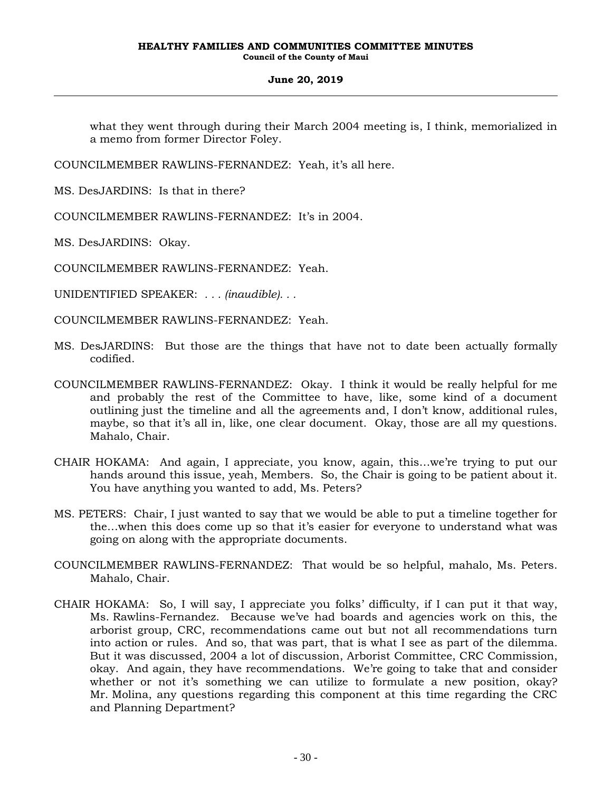what they went through during their March 2004 meeting is, I think, memorialized in a memo from former Director Foley.

COUNCILMEMBER RAWLINS-FERNANDEZ: Yeah, it's all here.

MS. DesJARDINS: Is that in there?

COUNCILMEMBER RAWLINS-FERNANDEZ: It's in 2004.

MS. DesJARDINS: Okay.

COUNCILMEMBER RAWLINS-FERNANDEZ: Yeah.

UNIDENTIFIED SPEAKER: *. . . (inaudible). . .*

COUNCILMEMBER RAWLINS-FERNANDEZ: Yeah.

- MS. DesJARDINS: But those are the things that have not to date been actually formally codified.
- COUNCILMEMBER RAWLINS-FERNANDEZ: Okay. I think it would be really helpful for me and probably the rest of the Committee to have, like, some kind of a document outlining just the timeline and all the agreements and, I don't know, additional rules, maybe, so that it's all in, like, one clear document. Okay, those are all my questions. Mahalo, Chair.
- CHAIR HOKAMA: And again, I appreciate, you know, again, this…we're trying to put our hands around this issue, yeah, Members. So, the Chair is going to be patient about it. You have anything you wanted to add, Ms. Peters?
- MS. PETERS: Chair, I just wanted to say that we would be able to put a timeline together for the…when this does come up so that it's easier for everyone to understand what was going on along with the appropriate documents.
- COUNCILMEMBER RAWLINS-FERNANDEZ: That would be so helpful, mahalo, Ms. Peters. Mahalo, Chair.
- CHAIR HOKAMA: So, I will say, I appreciate you folks' difficulty, if I can put it that way, Ms. Rawlins-Fernandez. Because we've had boards and agencies work on this, the arborist group, CRC, recommendations came out but not all recommendations turn into action or rules. And so, that was part, that is what I see as part of the dilemma. But it was discussed, 2004 a lot of discussion, Arborist Committee, CRC Commission, okay. And again, they have recommendations. We're going to take that and consider whether or not it's something we can utilize to formulate a new position, okay? Mr. Molina, any questions regarding this component at this time regarding the CRC and Planning Department?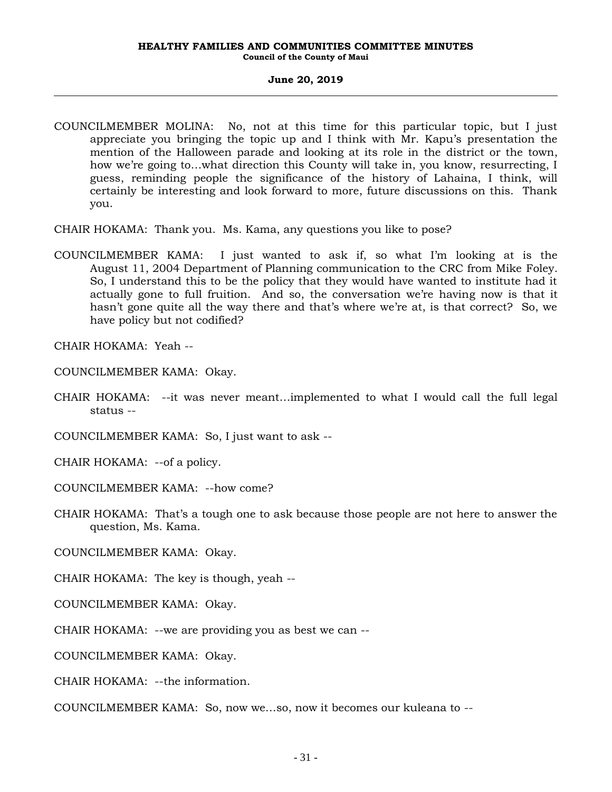### **June 20, 2019**

- COUNCILMEMBER MOLINA: No, not at this time for this particular topic, but I just appreciate you bringing the topic up and I think with Mr. Kapu's presentation the mention of the Halloween parade and looking at its role in the district or the town, how we're going to…what direction this County will take in, you know, resurrecting, I guess, reminding people the significance of the history of Lahaina, I think, will certainly be interesting and look forward to more, future discussions on this. Thank you.
- CHAIR HOKAMA: Thank you. Ms. Kama, any questions you like to pose?
- COUNCILMEMBER KAMA: I just wanted to ask if, so what I'm looking at is the August 11, 2004 Department of Planning communication to the CRC from Mike Foley. So, I understand this to be the policy that they would have wanted to institute had it actually gone to full fruition. And so, the conversation we're having now is that it hasn't gone quite all the way there and that's where we're at, is that correct? So, we have policy but not codified?

CHAIR HOKAMA: Yeah --

COUNCILMEMBER KAMA: Okay.

CHAIR HOKAMA: --it was never meant…implemented to what I would call the full legal status --

COUNCILMEMBER KAMA: So, I just want to ask --

CHAIR HOKAMA: --of a policy.

- COUNCILMEMBER KAMA: --how come?
- CHAIR HOKAMA: That's a tough one to ask because those people are not here to answer the question, Ms. Kama.

COUNCILMEMBER KAMA: Okay.

CHAIR HOKAMA: The key is though, yeah --

- COUNCILMEMBER KAMA: Okay.
- CHAIR HOKAMA: --we are providing you as best we can --

COUNCILMEMBER KAMA: Okay.

CHAIR HOKAMA: --the information.

COUNCILMEMBER KAMA: So, now we…so, now it becomes our kuleana to --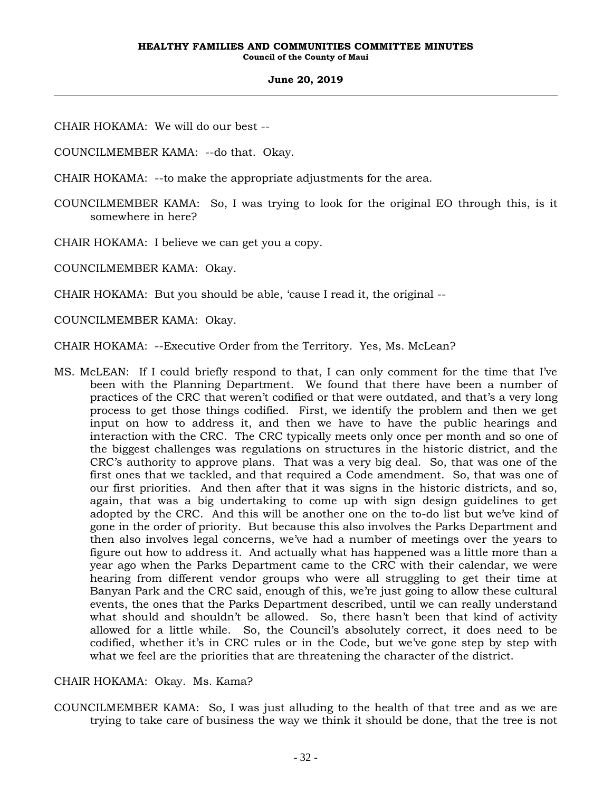CHAIR HOKAMA: We will do our best --

COUNCILMEMBER KAMA: --do that. Okay.

CHAIR HOKAMA: --to make the appropriate adjustments for the area.

COUNCILMEMBER KAMA: So, I was trying to look for the original EO through this, is it somewhere in here?

CHAIR HOKAMA: I believe we can get you a copy.

COUNCILMEMBER KAMA: Okay.

CHAIR HOKAMA: But you should be able, 'cause I read it, the original --

COUNCILMEMBER KAMA: Okay.

CHAIR HOKAMA: --Executive Order from the Territory. Yes, Ms. McLean?

MS. McLEAN: If I could briefly respond to that, I can only comment for the time that I've been with the Planning Department. We found that there have been a number of practices of the CRC that weren't codified or that were outdated, and that's a very long process to get those things codified. First, we identify the problem and then we get input on how to address it, and then we have to have the public hearings and interaction with the CRC. The CRC typically meets only once per month and so one of the biggest challenges was regulations on structures in the historic district, and the CRC's authority to approve plans. That was a very big deal. So, that was one of the first ones that we tackled, and that required a Code amendment. So, that was one of our first priorities. And then after that it was signs in the historic districts, and so, again, that was a big undertaking to come up with sign design guidelines to get adopted by the CRC. And this will be another one on the to-do list but we've kind of gone in the order of priority. But because this also involves the Parks Department and then also involves legal concerns, we've had a number of meetings over the years to figure out how to address it. And actually what has happened was a little more than a year ago when the Parks Department came to the CRC with their calendar, we were hearing from different vendor groups who were all struggling to get their time at Banyan Park and the CRC said, enough of this, we're just going to allow these cultural events, the ones that the Parks Department described, until we can really understand what should and shouldn't be allowed. So, there hasn't been that kind of activity allowed for a little while. So, the Council's absolutely correct, it does need to be codified, whether it's in CRC rules or in the Code, but we've gone step by step with what we feel are the priorities that are threatening the character of the district.

# CHAIR HOKAMA: Okay. Ms. Kama?

COUNCILMEMBER KAMA: So, I was just alluding to the health of that tree and as we are trying to take care of business the way we think it should be done, that the tree is not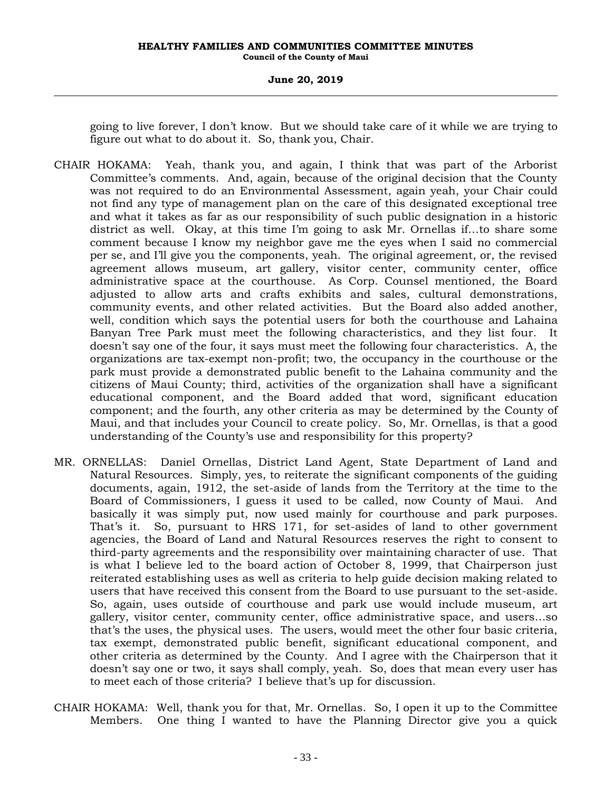### **June 20, 2019**

going to live forever, I don't know. But we should take care of it while we are trying to figure out what to do about it. So, thank you, Chair.

- CHAIR HOKAMA: Yeah, thank you, and again, I think that was part of the Arborist Committee's comments. And, again, because of the original decision that the County was not required to do an Environmental Assessment, again yeah, your Chair could not find any type of management plan on the care of this designated exceptional tree and what it takes as far as our responsibility of such public designation in a historic district as well. Okay, at this time I'm going to ask Mr. Ornellas if…to share some comment because I know my neighbor gave me the eyes when I said no commercial per se, and I'll give you the components, yeah. The original agreement, or, the revised agreement allows museum, art gallery, visitor center, community center, office administrative space at the courthouse. As Corp. Counsel mentioned, the Board adjusted to allow arts and crafts exhibits and sales, cultural demonstrations, community events, and other related activities. But the Board also added another, well, condition which says the potential users for both the courthouse and Lahaina Banyan Tree Park must meet the following characteristics, and they list four. It doesn't say one of the four, it says must meet the following four characteristics. A, the organizations are tax-exempt non-profit; two, the occupancy in the courthouse or the park must provide a demonstrated public benefit to the Lahaina community and the citizens of Maui County; third, activities of the organization shall have a significant educational component, and the Board added that word, significant education component; and the fourth, any other criteria as may be determined by the County of Maui, and that includes your Council to create policy. So, Mr. Ornellas, is that a good understanding of the County's use and responsibility for this property?
- MR. ORNELLAS: Daniel Ornellas, District Land Agent, State Department of Land and Natural Resources. Simply, yes, to reiterate the significant components of the guiding documents, again, 1912, the set-aside of lands from the Territory at the time to the Board of Commissioners, I guess it used to be called, now County of Maui. And basically it was simply put, now used mainly for courthouse and park purposes. That's it. So, pursuant to HRS 171, for set-asides of land to other government agencies, the Board of Land and Natural Resources reserves the right to consent to third-party agreements and the responsibility over maintaining character of use. That is what I believe led to the board action of October 8, 1999, that Chairperson just reiterated establishing uses as well as criteria to help guide decision making related to users that have received this consent from the Board to use pursuant to the set-aside. So, again, uses outside of courthouse and park use would include museum, art gallery, visitor center, community center, office administrative space, and users…so that's the uses, the physical uses. The users, would meet the other four basic criteria, tax exempt, demonstrated public benefit, significant educational component, and other criteria as determined by the County. And I agree with the Chairperson that it doesn't say one or two, it says shall comply, yeah. So, does that mean every user has to meet each of those criteria? I believe that's up for discussion.
- CHAIR HOKAMA: Well, thank you for that, Mr. Ornellas. So, I open it up to the Committee Members. One thing I wanted to have the Planning Director give you a quick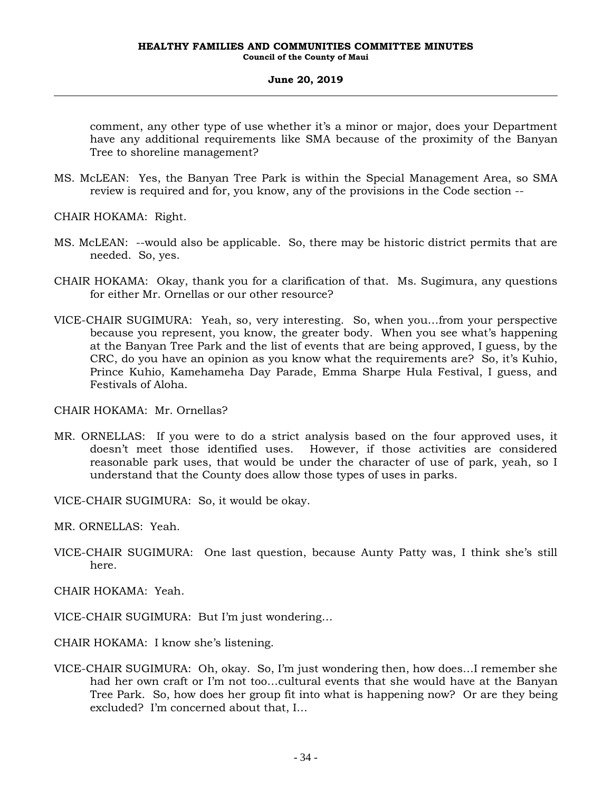comment, any other type of use whether it's a minor or major, does your Department have any additional requirements like SMA because of the proximity of the Banyan Tree to shoreline management?

MS. McLEAN: Yes, the Banyan Tree Park is within the Special Management Area, so SMA review is required and for, you know, any of the provisions in the Code section --

CHAIR HOKAMA: Right.

- MS. McLEAN: --would also be applicable. So, there may be historic district permits that are needed. So, yes.
- CHAIR HOKAMA: Okay, thank you for a clarification of that. Ms. Sugimura, any questions for either Mr. Ornellas or our other resource?
- VICE-CHAIR SUGIMURA: Yeah, so, very interesting. So, when you…from your perspective because you represent, you know, the greater body. When you see what's happening at the Banyan Tree Park and the list of events that are being approved, I guess, by the CRC, do you have an opinion as you know what the requirements are? So, it's Kuhio, Prince Kuhio, Kamehameha Day Parade, Emma Sharpe Hula Festival, I guess, and Festivals of Aloha.

CHAIR HOKAMA: Mr. Ornellas?

MR. ORNELLAS: If you were to do a strict analysis based on the four approved uses, it doesn't meet those identified uses. However, if those activities are considered reasonable park uses, that would be under the character of use of park, yeah, so I understand that the County does allow those types of uses in parks.

VICE-CHAIR SUGIMURA: So, it would be okay.

MR. ORNELLAS: Yeah.

VICE-CHAIR SUGIMURA: One last question, because Aunty Patty was, I think she's still here.

CHAIR HOKAMA: Yeah.

- VICE-CHAIR SUGIMURA: But I'm just wondering…
- CHAIR HOKAMA: I know she's listening.
- VICE-CHAIR SUGIMURA: Oh, okay. So, I'm just wondering then, how does…I remember she had her own craft or I'm not too…cultural events that she would have at the Banyan Tree Park. So, how does her group fit into what is happening now? Or are they being excluded? I'm concerned about that, I…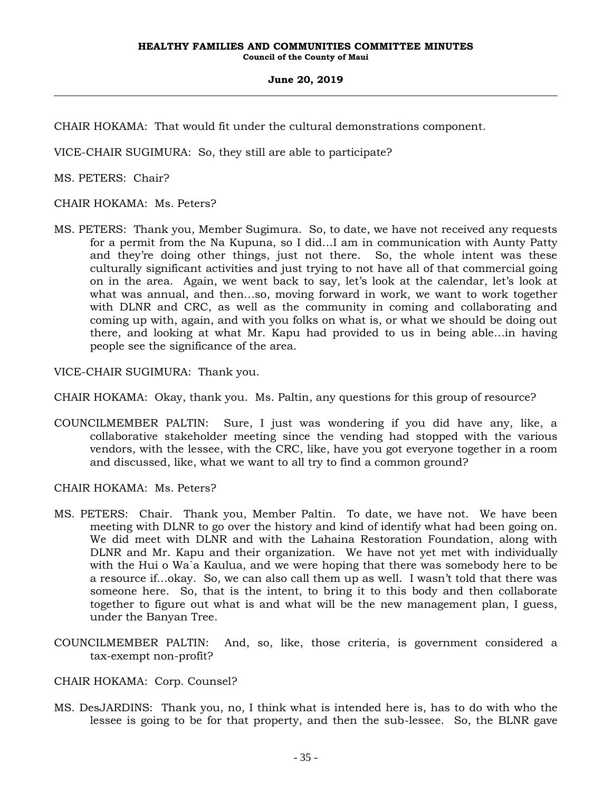CHAIR HOKAMA: That would fit under the cultural demonstrations component.

VICE-CHAIR SUGIMURA: So, they still are able to participate?

MS. PETERS: Chair?

CHAIR HOKAMA: Ms. Peters?

MS. PETERS: Thank you, Member Sugimura. So, to date, we have not received any requests for a permit from the Na Kupuna, so I did…I am in communication with Aunty Patty and they're doing other things, just not there. So, the whole intent was these culturally significant activities and just trying to not have all of that commercial going on in the area. Again, we went back to say, let's look at the calendar, let's look at what was annual, and then…so, moving forward in work, we want to work together with DLNR and CRC, as well as the community in coming and collaborating and coming up with, again, and with you folks on what is, or what we should be doing out there, and looking at what Mr. Kapu had provided to us in being able…in having people see the significance of the area.

VICE-CHAIR SUGIMURA: Thank you.

CHAIR HOKAMA: Okay, thank you. Ms. Paltin, any questions for this group of resource?

COUNCILMEMBER PALTIN: Sure, I just was wondering if you did have any, like, a collaborative stakeholder meeting since the vending had stopped with the various vendors, with the lessee, with the CRC, like, have you got everyone together in a room and discussed, like, what we want to all try to find a common ground?

CHAIR HOKAMA: Ms. Peters?

- MS. PETERS: Chair. Thank you, Member Paltin. To date, we have not. We have been meeting with DLNR to go over the history and kind of identify what had been going on. We did meet with DLNR and with the Lahaina Restoration Foundation, along with DLNR and Mr. Kapu and their organization. We have not yet met with individually with the Hui o Wa`a Kaulua, and we were hoping that there was somebody here to be a resource if…okay. So, we can also call them up as well. I wasn't told that there was someone here. So, that is the intent, to bring it to this body and then collaborate together to figure out what is and what will be the new management plan, I guess, under the Banyan Tree.
- COUNCILMEMBER PALTIN: And, so, like, those criteria, is government considered a tax-exempt non-profit?

# CHAIR HOKAMA: Corp. Counsel?

MS. DesJARDINS: Thank you, no, I think what is intended here is, has to do with who the lessee is going to be for that property, and then the sub-lessee. So, the BLNR gave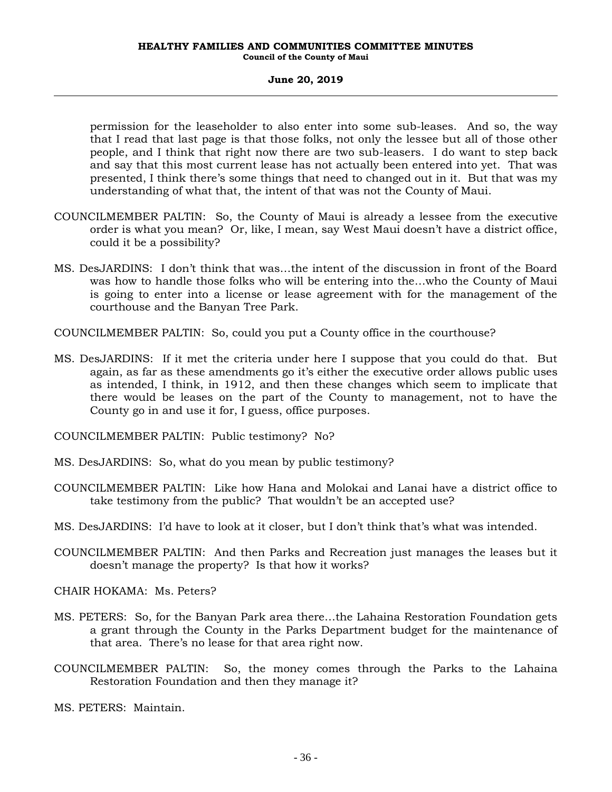permission for the leaseholder to also enter into some sub-leases. And so, the way that I read that last page is that those folks, not only the lessee but all of those other people, and I think that right now there are two sub-leasers. I do want to step back and say that this most current lease has not actually been entered into yet. That was presented, I think there's some things that need to changed out in it. But that was my understanding of what that, the intent of that was not the County of Maui.

- COUNCILMEMBER PALTIN: So, the County of Maui is already a lessee from the executive order is what you mean? Or, like, I mean, say West Maui doesn't have a district office, could it be a possibility?
- MS. DesJARDINS: I don't think that was…the intent of the discussion in front of the Board was how to handle those folks who will be entering into the…who the County of Maui is going to enter into a license or lease agreement with for the management of the courthouse and the Banyan Tree Park.

COUNCILMEMBER PALTIN: So, could you put a County office in the courthouse?

MS. DesJARDINS: If it met the criteria under here I suppose that you could do that. But again, as far as these amendments go it's either the executive order allows public uses as intended, I think, in 1912, and then these changes which seem to implicate that there would be leases on the part of the County to management, not to have the County go in and use it for, I guess, office purposes.

COUNCILMEMBER PALTIN: Public testimony? No?

- MS. DesJARDINS: So, what do you mean by public testimony?
- COUNCILMEMBER PALTIN: Like how Hana and Molokai and Lanai have a district office to take testimony from the public? That wouldn't be an accepted use?
- MS. DesJARDINS: I'd have to look at it closer, but I don't think that's what was intended.
- COUNCILMEMBER PALTIN: And then Parks and Recreation just manages the leases but it doesn't manage the property? Is that how it works?

CHAIR HOKAMA: Ms. Peters?

- MS. PETERS: So, for the Banyan Park area there…the Lahaina Restoration Foundation gets a grant through the County in the Parks Department budget for the maintenance of that area. There's no lease for that area right now.
- COUNCILMEMBER PALTIN: So, the money comes through the Parks to the Lahaina Restoration Foundation and then they manage it?

MS. PETERS: Maintain.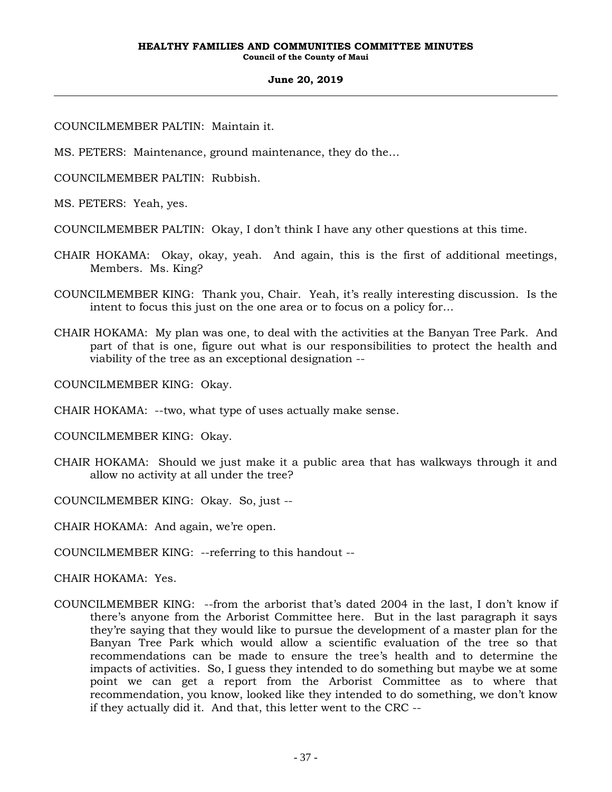COUNCILMEMBER PALTIN: Maintain it.

MS. PETERS: Maintenance, ground maintenance, they do the…

COUNCILMEMBER PALTIN: Rubbish.

MS. PETERS: Yeah, yes.

COUNCILMEMBER PALTIN: Okay, I don't think I have any other questions at this time.

- CHAIR HOKAMA: Okay, okay, yeah. And again, this is the first of additional meetings, Members. Ms. King?
- COUNCILMEMBER KING: Thank you, Chair. Yeah, it's really interesting discussion. Is the intent to focus this just on the one area or to focus on a policy for…
- CHAIR HOKAMA: My plan was one, to deal with the activities at the Banyan Tree Park. And part of that is one, figure out what is our responsibilities to protect the health and viability of the tree as an exceptional designation --

COUNCILMEMBER KING: Okay.

CHAIR HOKAMA: --two, what type of uses actually make sense.

COUNCILMEMBER KING: Okay.

- CHAIR HOKAMA: Should we just make it a public area that has walkways through it and allow no activity at all under the tree?
- COUNCILMEMBER KING: Okay. So, just --

CHAIR HOKAMA: And again, we're open.

COUNCILMEMBER KING: --referring to this handout --

CHAIR HOKAMA: Yes.

COUNCILMEMBER KING: --from the arborist that's dated 2004 in the last, I don't know if there's anyone from the Arborist Committee here. But in the last paragraph it says they're saying that they would like to pursue the development of a master plan for the Banyan Tree Park which would allow a scientific evaluation of the tree so that recommendations can be made to ensure the tree's health and to determine the impacts of activities. So, I guess they intended to do something but maybe we at some point we can get a report from the Arborist Committee as to where that recommendation, you know, looked like they intended to do something, we don't know if they actually did it. And that, this letter went to the CRC --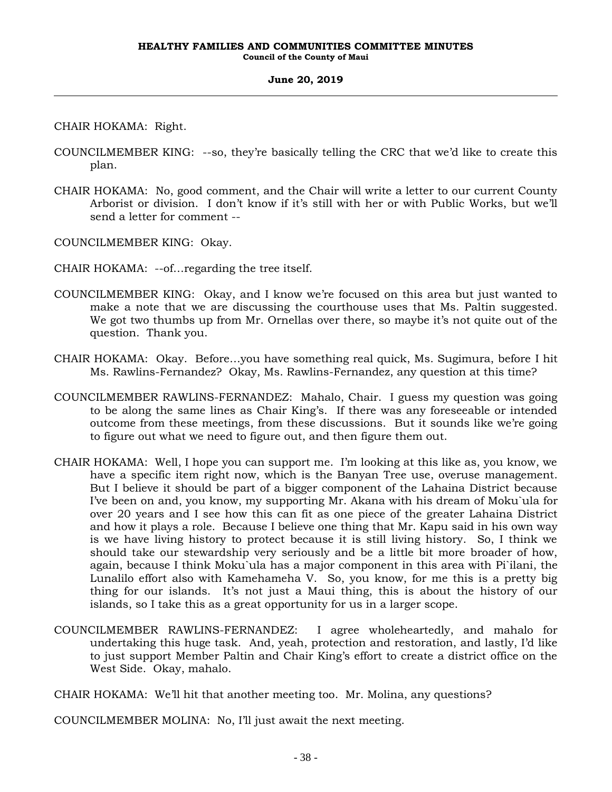CHAIR HOKAMA: Right.

- COUNCILMEMBER KING: --so, they're basically telling the CRC that we'd like to create this plan.
- CHAIR HOKAMA: No, good comment, and the Chair will write a letter to our current County Arborist or division. I don't know if it's still with her or with Public Works, but we'll send a letter for comment --

COUNCILMEMBER KING: Okay.

CHAIR HOKAMA: --of…regarding the tree itself.

- COUNCILMEMBER KING: Okay, and I know we're focused on this area but just wanted to make a note that we are discussing the courthouse uses that Ms. Paltin suggested. We got two thumbs up from Mr. Ornellas over there, so maybe it's not quite out of the question. Thank you.
- CHAIR HOKAMA: Okay. Before…you have something real quick, Ms. Sugimura, before I hit Ms. Rawlins-Fernandez? Okay, Ms. Rawlins-Fernandez, any question at this time?
- COUNCILMEMBER RAWLINS-FERNANDEZ: Mahalo, Chair. I guess my question was going to be along the same lines as Chair King's. If there was any foreseeable or intended outcome from these meetings, from these discussions. But it sounds like we're going to figure out what we need to figure out, and then figure them out.
- CHAIR HOKAMA: Well, I hope you can support me. I'm looking at this like as, you know, we have a specific item right now, which is the Banyan Tree use, overuse management. But I believe it should be part of a bigger component of the Lahaina District because I've been on and, you know, my supporting Mr. Akana with his dream of Moku`ula for over 20 years and I see how this can fit as one piece of the greater Lahaina District and how it plays a role. Because I believe one thing that Mr. Kapu said in his own way is we have living history to protect because it is still living history. So, I think we should take our stewardship very seriously and be a little bit more broader of how, again, because I think Moku`ula has a major component in this area with Pi`ilani, the Lunalilo effort also with Kamehameha V. So, you know, for me this is a pretty big thing for our islands. It's not just a Maui thing, this is about the history of our islands, so I take this as a great opportunity for us in a larger scope.
- COUNCILMEMBER RAWLINS-FERNANDEZ: I agree wholeheartedly, and mahalo for undertaking this huge task. And, yeah, protection and restoration, and lastly, I'd like to just support Member Paltin and Chair King's effort to create a district office on the West Side. Okay, mahalo.

CHAIR HOKAMA: We'll hit that another meeting too. Mr. Molina, any questions?

COUNCILMEMBER MOLINA: No, I'll just await the next meeting.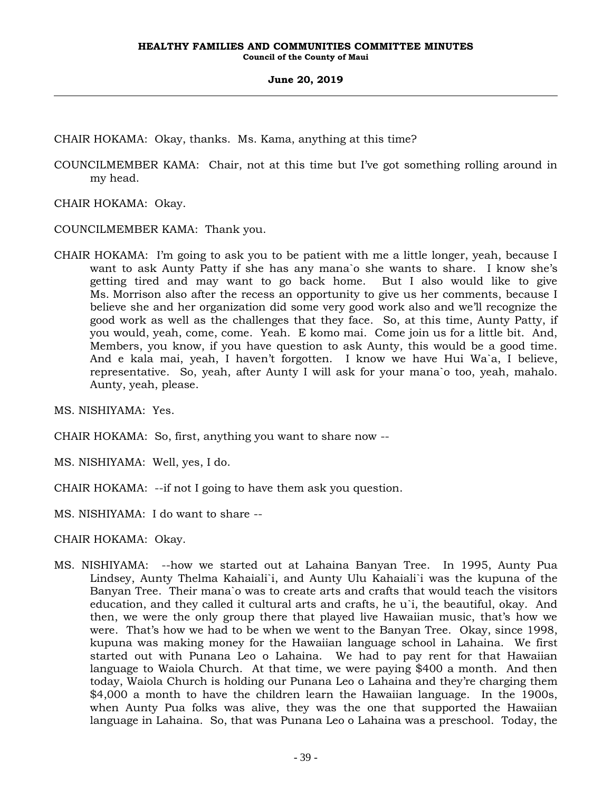CHAIR HOKAMA: Okay, thanks. Ms. Kama, anything at this time?

COUNCILMEMBER KAMA: Chair, not at this time but I've got something rolling around in my head.

CHAIR HOKAMA: Okay.

COUNCILMEMBER KAMA: Thank you.

CHAIR HOKAMA: I'm going to ask you to be patient with me a little longer, yeah, because I want to ask Aunty Patty if she has any mana`o she wants to share. I know she's getting tired and may want to go back home. But I also would like to give Ms. Morrison also after the recess an opportunity to give us her comments, because I believe she and her organization did some very good work also and we'll recognize the good work as well as the challenges that they face. So, at this time, Aunty Patty, if you would, yeah, come, come. Yeah. E komo mai. Come join us for a little bit. And, Members, you know, if you have question to ask Aunty, this would be a good time. And e kala mai, yeah, I haven't forgotten. I know we have Hui Wa`a, I believe, representative. So, yeah, after Aunty I will ask for your mana`o too, yeah, mahalo. Aunty, yeah, please.

MS. NISHIYAMA: Yes.

CHAIR HOKAMA: So, first, anything you want to share now --

MS. NISHIYAMA: Well, yes, I do.

CHAIR HOKAMA: --if not I going to have them ask you question.

MS. NISHIYAMA: I do want to share --

CHAIR HOKAMA: Okay.

MS. NISHIYAMA: --how we started out at Lahaina Banyan Tree. In 1995, Aunty Pua Lindsey, Aunty Thelma Kahaiali`i, and Aunty Ulu Kahaiali`i was the kupuna of the Banyan Tree. Their mana`o was to create arts and crafts that would teach the visitors education, and they called it cultural arts and crafts, he u`i, the beautiful, okay. And then, we were the only group there that played live Hawaiian music, that's how we were. That's how we had to be when we went to the Banyan Tree. Okay, since 1998, kupuna was making money for the Hawaiian language school in Lahaina. We first started out with Punana Leo o Lahaina. We had to pay rent for that Hawaiian language to Waiola Church. At that time, we were paying \$400 a month. And then today, Waiola Church is holding our Punana Leo o Lahaina and they're charging them \$4,000 a month to have the children learn the Hawaiian language. In the 1900s, when Aunty Pua folks was alive, they was the one that supported the Hawaiian language in Lahaina. So, that was Punana Leo o Lahaina was a preschool. Today, the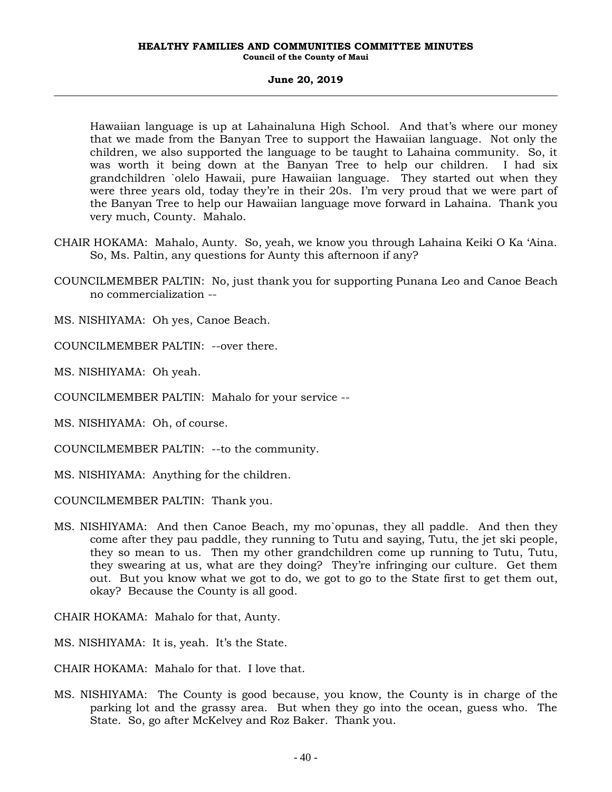Hawaiian language is up at Lahainaluna High School. And that's where our money that we made from the Banyan Tree to support the Hawaiian language. Not only the children, we also supported the language to be taught to Lahaina community. So, it was worth it being down at the Banyan Tree to help our children. I had six grandchildren `olelo Hawaii, pure Hawaiian language. They started out when they were three years old, today they're in their 20s. I'm very proud that we were part of the Banyan Tree to help our Hawaiian language move forward in Lahaina. Thank you very much, County. Mahalo.

- CHAIR HOKAMA: Mahalo, Aunty. So, yeah, we know you through Lahaina Keiki O Ka 'Aina. So, Ms. Paltin, any questions for Aunty this afternoon if any?
- COUNCILMEMBER PALTIN: No, just thank you for supporting Punana Leo and Canoe Beach no commercialization --
- MS. NISHIYAMA: Oh yes, Canoe Beach.
- COUNCILMEMBER PALTIN: --over there.
- MS. NISHIYAMA: Oh yeah.
- COUNCILMEMBER PALTIN: Mahalo for your service --
- MS. NISHIYAMA: Oh, of course.
- COUNCILMEMBER PALTIN: --to the community.
- MS. NISHIYAMA: Anything for the children.
- COUNCILMEMBER PALTIN: Thank you.
- MS. NISHIYAMA: And then Canoe Beach, my mo`opunas, they all paddle. And then they come after they pau paddle, they running to Tutu and saying, Tutu, the jet ski people, they so mean to us. Then my other grandchildren come up running to Tutu, Tutu, they swearing at us, what are they doing? They're infringing our culture. Get them out. But you know what we got to do, we got to go to the State first to get them out, okay? Because the County is all good.
- CHAIR HOKAMA: Mahalo for that, Aunty.
- MS. NISHIYAMA: It is, yeah. It's the State.
- CHAIR HOKAMA: Mahalo for that. I love that.
- MS. NISHIYAMA: The County is good because, you know, the County is in charge of the parking lot and the grassy area. But when they go into the ocean, guess who. The State. So, go after McKelvey and Roz Baker. Thank you.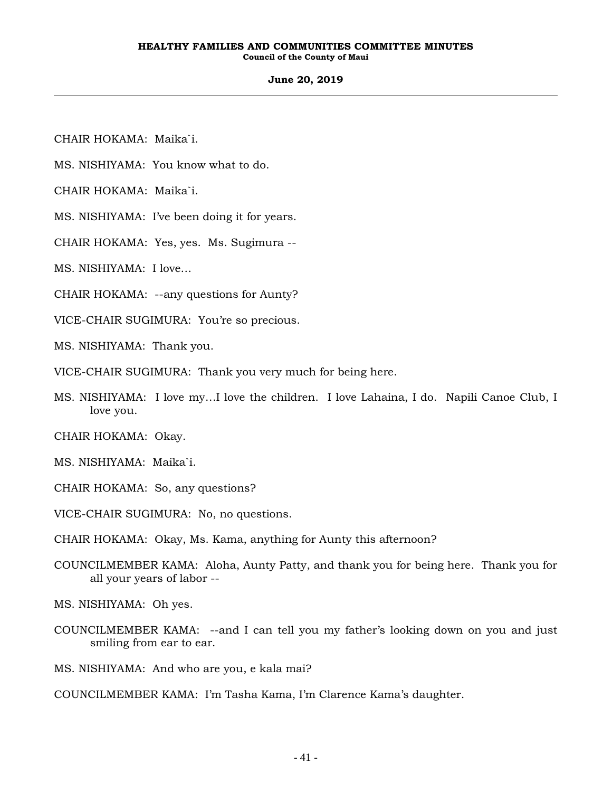### **June 20, 2019**

- CHAIR HOKAMA: Maika`i.
- MS. NISHIYAMA: You know what to do.
- CHAIR HOKAMA: Maika`i.
- MS. NISHIYAMA: I've been doing it for years.
- CHAIR HOKAMA: Yes, yes. Ms. Sugimura --
- MS. NISHIYAMA: I love…
- CHAIR HOKAMA: --any questions for Aunty?
- VICE-CHAIR SUGIMURA: You're so precious.
- MS. NISHIYAMA: Thank you.
- VICE-CHAIR SUGIMURA: Thank you very much for being here.
- MS. NISHIYAMA: I love my…I love the children. I love Lahaina, I do. Napili Canoe Club, I love you.
- CHAIR HOKAMA: Okay.
- MS. NISHIYAMA: Maika`i.
- CHAIR HOKAMA: So, any questions?
- VICE-CHAIR SUGIMURA: No, no questions.
- CHAIR HOKAMA: Okay, Ms. Kama, anything for Aunty this afternoon?
- COUNCILMEMBER KAMA: Aloha, Aunty Patty, and thank you for being here. Thank you for all your years of labor --
- MS. NISHIYAMA: Oh yes.
- COUNCILMEMBER KAMA: --and I can tell you my father's looking down on you and just smiling from ear to ear.
- MS. NISHIYAMA: And who are you, e kala mai?
- COUNCILMEMBER KAMA: I'm Tasha Kama, I'm Clarence Kama's daughter.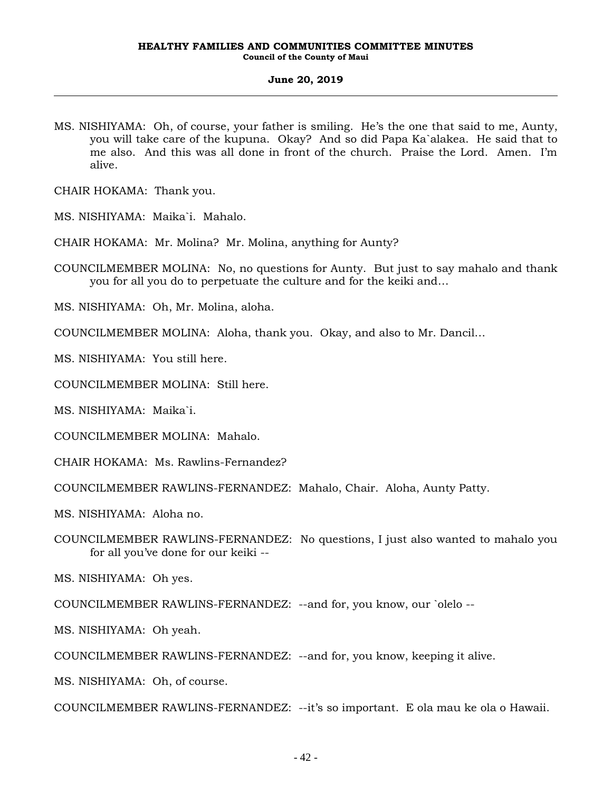MS. NISHIYAMA: Oh, of course, your father is smiling. He's the one that said to me, Aunty, you will take care of the kupuna. Okay? And so did Papa Ka`alakea. He said that to me also. And this was all done in front of the church. Praise the Lord. Amen. I'm alive.

CHAIR HOKAMA: Thank you.

MS. NISHIYAMA: Maika`i. Mahalo.

CHAIR HOKAMA: Mr. Molina? Mr. Molina, anything for Aunty?

COUNCILMEMBER MOLINA: No, no questions for Aunty. But just to say mahalo and thank you for all you do to perpetuate the culture and for the keiki and…

MS. NISHIYAMA: Oh, Mr. Molina, aloha.

COUNCILMEMBER MOLINA: Aloha, thank you. Okay, and also to Mr. Dancil…

MS. NISHIYAMA: You still here.

COUNCILMEMBER MOLINA: Still here.

MS. NISHIYAMA: Maika`i.

COUNCILMEMBER MOLINA: Mahalo.

CHAIR HOKAMA: Ms. Rawlins-Fernandez?

COUNCILMEMBER RAWLINS-FERNANDEZ: Mahalo, Chair. Aloha, Aunty Patty.

MS. NISHIYAMA: Aloha no.

COUNCILMEMBER RAWLINS-FERNANDEZ: No questions, I just also wanted to mahalo you for all you've done for our keiki --

MS. NISHIYAMA: Oh yes.

COUNCILMEMBER RAWLINS-FERNANDEZ: --and for, you know, our `olelo --

MS. NISHIYAMA: Oh yeah.

COUNCILMEMBER RAWLINS-FERNANDEZ: --and for, you know, keeping it alive.

MS. NISHIYAMA: Oh, of course.

COUNCILMEMBER RAWLINS-FERNANDEZ: --it's so important. E ola mau ke ola o Hawaii.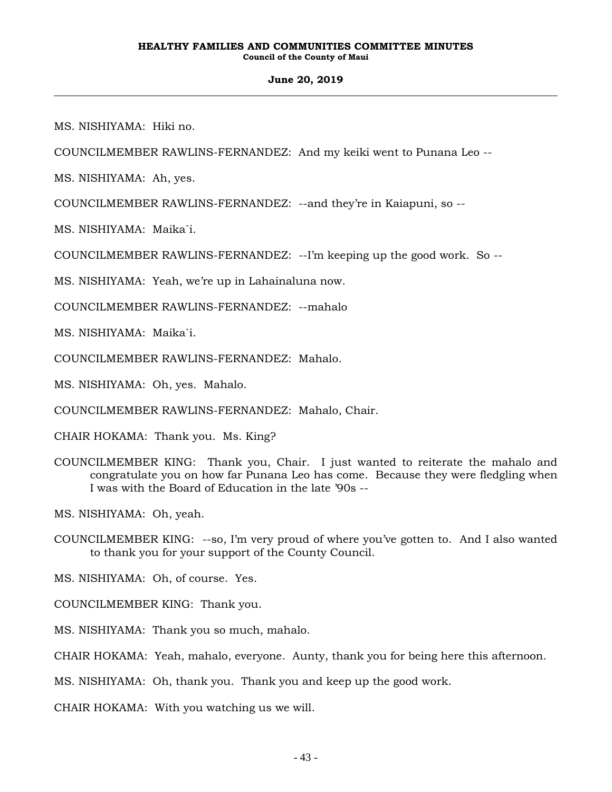### **June 20, 2019**

MS. NISHIYAMA: Hiki no.

COUNCILMEMBER RAWLINS-FERNANDEZ: And my keiki went to Punana Leo --

MS. NISHIYAMA: Ah, yes.

COUNCILMEMBER RAWLINS-FERNANDEZ: --and they're in Kaiapuni, so --

MS. NISHIYAMA: Maika`i.

COUNCILMEMBER RAWLINS-FERNANDEZ: --I'm keeping up the good work. So --

MS. NISHIYAMA: Yeah, we're up in Lahainaluna now.

COUNCILMEMBER RAWLINS-FERNANDEZ: --mahalo

MS. NISHIYAMA: Maika`i.

COUNCILMEMBER RAWLINS-FERNANDEZ: Mahalo.

MS. NISHIYAMA: Oh, yes. Mahalo.

COUNCILMEMBER RAWLINS-FERNANDEZ: Mahalo, Chair.

CHAIR HOKAMA: Thank you. Ms. King?

COUNCILMEMBER KING: Thank you, Chair. I just wanted to reiterate the mahalo and congratulate you on how far Punana Leo has come. Because they were fledgling when I was with the Board of Education in the late '90s --

MS. NISHIYAMA: Oh, yeah.

COUNCILMEMBER KING: --so, I'm very proud of where you've gotten to. And I also wanted to thank you for your support of the County Council.

MS. NISHIYAMA: Oh, of course. Yes.

COUNCILMEMBER KING: Thank you.

MS. NISHIYAMA: Thank you so much, mahalo.

CHAIR HOKAMA: Yeah, mahalo, everyone. Aunty, thank you for being here this afternoon.

MS. NISHIYAMA: Oh, thank you. Thank you and keep up the good work.

CHAIR HOKAMA: With you watching us we will.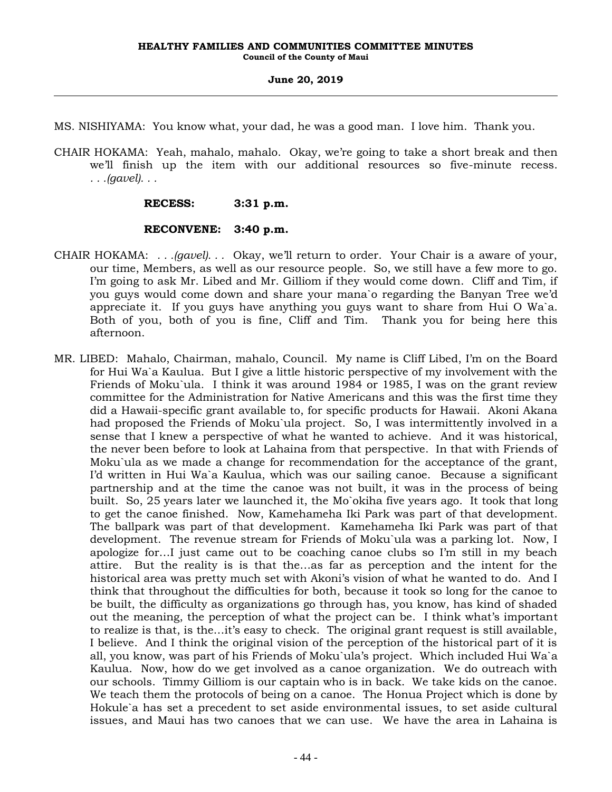MS. NISHIYAMA: You know what, your dad, he was a good man. I love him. Thank you.

CHAIR HOKAMA: Yeah, mahalo, mahalo. Okay, we're going to take a short break and then we'll finish up the item with our additional resources so five-minute recess. *. . .(gavel). . .*

# **RECESS: 3:31 p.m.**

# **RECONVENE: 3:40 p.m.**

- CHAIR HOKAMA: *. . .(gavel). . .* Okay, we'll return to order. Your Chair is a aware of your, our time, Members, as well as our resource people. So, we still have a few more to go. I'm going to ask Mr. Libed and Mr. Gilliom if they would come down. Cliff and Tim, if you guys would come down and share your mana`o regarding the Banyan Tree we'd appreciate it. If you guys have anything you guys want to share from Hui O Wa`a. Both of you, both of you is fine, Cliff and Tim. Thank you for being here this afternoon.
- MR. LIBED: Mahalo, Chairman, mahalo, Council. My name is Cliff Libed, I'm on the Board for Hui Wa`a Kaulua. But I give a little historic perspective of my involvement with the Friends of Moku`ula. I think it was around 1984 or 1985, I was on the grant review committee for the Administration for Native Americans and this was the first time they did a Hawaii-specific grant available to, for specific products for Hawaii. Akoni Akana had proposed the Friends of Moku`ula project. So, I was intermittently involved in a sense that I knew a perspective of what he wanted to achieve. And it was historical, the never been before to look at Lahaina from that perspective. In that with Friends of Moku`ula as we made a change for recommendation for the acceptance of the grant, I'd written in Hui Wa`a Kaulua, which was our sailing canoe. Because a significant partnership and at the time the canoe was not built, it was in the process of being built. So, 25 years later we launched it, the Mo`okiha five years ago. It took that long to get the canoe finished. Now, Kamehameha Iki Park was part of that development. The ballpark was part of that development. Kamehameha Iki Park was part of that development. The revenue stream for Friends of Moku`ula was a parking lot. Now, I apologize for…I just came out to be coaching canoe clubs so I'm still in my beach attire. But the reality is is that the…as far as perception and the intent for the historical area was pretty much set with Akoni's vision of what he wanted to do. And I think that throughout the difficulties for both, because it took so long for the canoe to be built, the difficulty as organizations go through has, you know, has kind of shaded out the meaning, the perception of what the project can be. I think what's important to realize is that, is the…it's easy to check. The original grant request is still available, I believe. And I think the original vision of the perception of the historical part of it is all, you know, was part of his Friends of Moku`ula's project. Which included Hui Wa`a Kaulua. Now, how do we get involved as a canoe organization. We do outreach with our schools. Timmy Gilliom is our captain who is in back. We take kids on the canoe. We teach them the protocols of being on a canoe. The Honua Project which is done by Hokule`a has set a precedent to set aside environmental issues, to set aside cultural issues, and Maui has two canoes that we can use. We have the area in Lahaina is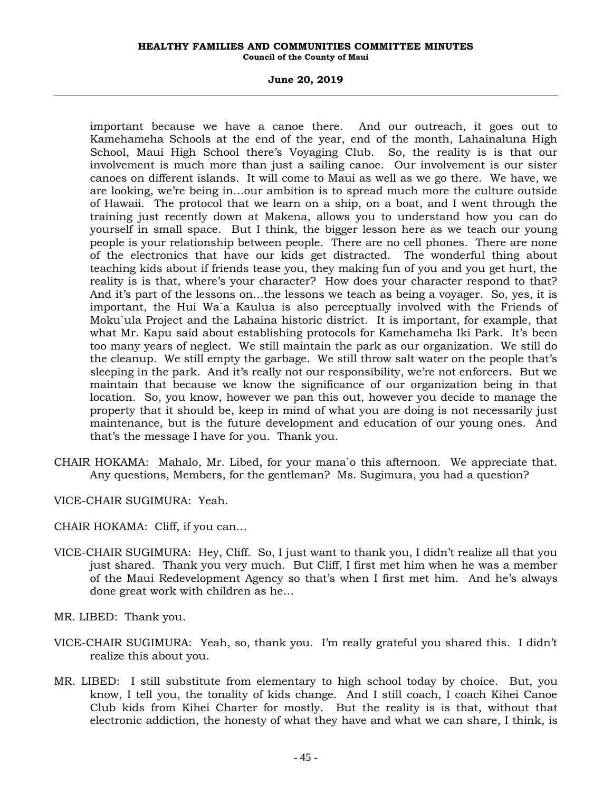### **June 20, 2019**

important because we have a canoe there. And our outreach, it goes out to Kamehameha Schools at the end of the year, end of the month, Lahainaluna High School, Maui High School there's Voyaging Club. So, the reality is is that our involvement is much more than just a sailing canoe. Our involvement is our sister canoes on different islands. It will come to Maui as well as we go there. We have, we are looking, we're being in…our ambition is to spread much more the culture outside of Hawaii. The protocol that we learn on a ship, on a boat, and I went through the training just recently down at Makena, allows you to understand how you can do yourself in small space. But I think, the bigger lesson here as we teach our young people is your relationship between people. There are no cell phones. There are none of the electronics that have our kids get distracted. The wonderful thing about teaching kids about if friends tease you, they making fun of you and you get hurt, the reality is is that, where's your character? How does your character respond to that? And it's part of the lessons on…the lessons we teach as being a voyager. So, yes, it is important, the Hui Wa`a Kaulua is also perceptually involved with the Friends of Moku`ula Project and the Lahaina historic district. It is important, for example, that what Mr. Kapu said about establishing protocols for Kamehameha Iki Park. It's been too many years of neglect. We still maintain the park as our organization. We still do the cleanup. We still empty the garbage. We still throw salt water on the people that's sleeping in the park. And it's really not our responsibility, we're not enforcers. But we maintain that because we know the significance of our organization being in that location. So, you know, however we pan this out, however you decide to manage the property that it should be, keep in mind of what you are doing is not necessarily just maintenance, but is the future development and education of our young ones. And that's the message I have for you. Thank you.

CHAIR HOKAMA: Mahalo, Mr. Libed, for your mana`o this afternoon. We appreciate that. Any questions, Members, for the gentleman? Ms. Sugimura, you had a question?

VICE-CHAIR SUGIMURA: Yeah.

CHAIR HOKAMA: Cliff, if you can…

VICE-CHAIR SUGIMURA: Hey, Cliff. So, I just want to thank you, I didn't realize all that you just shared. Thank you very much. But Cliff, I first met him when he was a member of the Maui Redevelopment Agency so that's when I first met him. And he's always done great work with children as he…

MR. LIBED: Thank you.

- VICE-CHAIR SUGIMURA: Yeah, so, thank you. I'm really grateful you shared this. I didn't realize this about you.
- MR. LIBED: I still substitute from elementary to high school today by choice. But, you know, I tell you, the tonality of kids change. And I still coach, I coach Kihei Canoe Club kids from Kihei Charter for mostly. But the reality is is that, without that electronic addiction, the honesty of what they have and what we can share, I think, is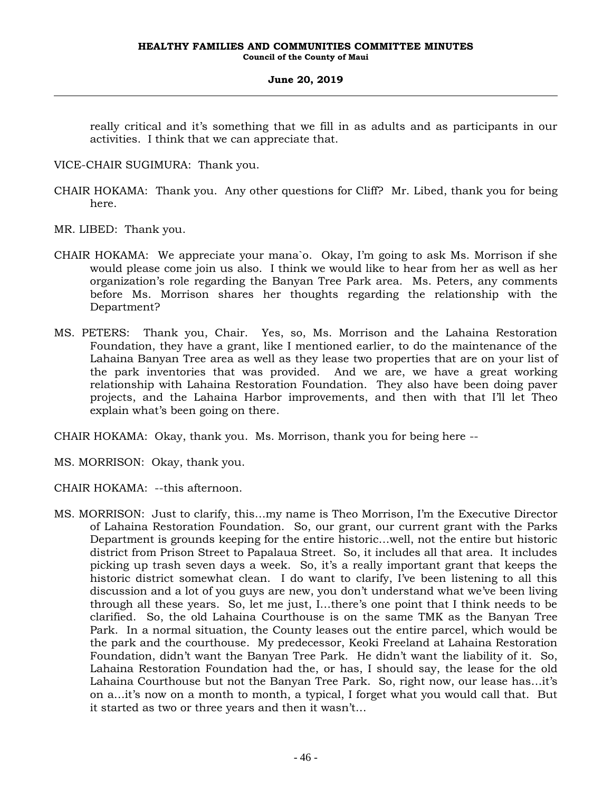really critical and it's something that we fill in as adults and as participants in our activities. I think that we can appreciate that.

VICE-CHAIR SUGIMURA: Thank you.

- CHAIR HOKAMA: Thank you. Any other questions for Cliff? Mr. Libed, thank you for being here.
- MR. LIBED: Thank you.
- CHAIR HOKAMA: We appreciate your mana`o. Okay, I'm going to ask Ms. Morrison if she would please come join us also. I think we would like to hear from her as well as her organization's role regarding the Banyan Tree Park area. Ms. Peters, any comments before Ms. Morrison shares her thoughts regarding the relationship with the Department?
- MS. PETERS: Thank you, Chair. Yes, so, Ms. Morrison and the Lahaina Restoration Foundation, they have a grant, like I mentioned earlier, to do the maintenance of the Lahaina Banyan Tree area as well as they lease two properties that are on your list of the park inventories that was provided. And we are, we have a great working relationship with Lahaina Restoration Foundation. They also have been doing paver projects, and the Lahaina Harbor improvements, and then with that I'll let Theo explain what's been going on there.

CHAIR HOKAMA: Okay, thank you. Ms. Morrison, thank you for being here --

MS. MORRISON: Okay, thank you.

CHAIR HOKAMA: --this afternoon.

MS. MORRISON: Just to clarify, this…my name is Theo Morrison, I'm the Executive Director of Lahaina Restoration Foundation. So, our grant, our current grant with the Parks Department is grounds keeping for the entire historic…well, not the entire but historic district from Prison Street to Papalaua Street. So, it includes all that area. It includes picking up trash seven days a week. So, it's a really important grant that keeps the historic district somewhat clean. I do want to clarify, I've been listening to all this discussion and a lot of you guys are new, you don't understand what we've been living through all these years. So, let me just, I…there's one point that I think needs to be clarified. So, the old Lahaina Courthouse is on the same TMK as the Banyan Tree Park. In a normal situation, the County leases out the entire parcel, which would be the park and the courthouse. My predecessor, Keoki Freeland at Lahaina Restoration Foundation, didn't want the Banyan Tree Park. He didn't want the liability of it. So, Lahaina Restoration Foundation had the, or has, I should say, the lease for the old Lahaina Courthouse but not the Banyan Tree Park. So, right now, our lease has…it's on a…it's now on a month to month, a typical, I forget what you would call that. But it started as two or three years and then it wasn't…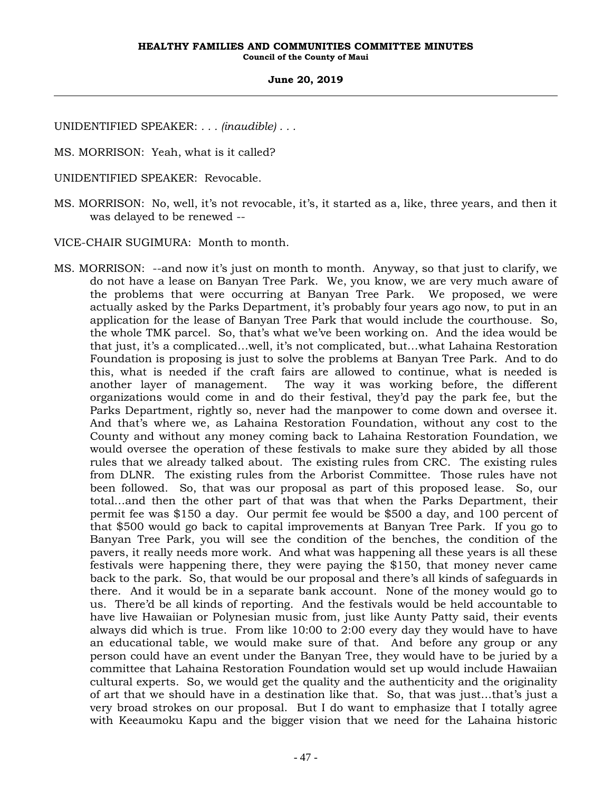UNIDENTIFIED SPEAKER: *. . . (inaudible) . . .*

MS. MORRISON: Yeah, what is it called?

- UNIDENTIFIED SPEAKER: Revocable.
- MS. MORRISON: No, well, it's not revocable, it's, it started as a, like, three years, and then it was delayed to be renewed --

VICE-CHAIR SUGIMURA: Month to month.

MS. MORRISON: --and now it's just on month to month. Anyway, so that just to clarify, we do not have a lease on Banyan Tree Park. We, you know, we are very much aware of the problems that were occurring at Banyan Tree Park. We proposed, we were actually asked by the Parks Department, it's probably four years ago now, to put in an application for the lease of Banyan Tree Park that would include the courthouse. So, the whole TMK parcel. So, that's what we've been working on. And the idea would be that just, it's a complicated…well, it's not complicated, but…what Lahaina Restoration Foundation is proposing is just to solve the problems at Banyan Tree Park. And to do this, what is needed if the craft fairs are allowed to continue, what is needed is another layer of management. The way it was working before, the different organizations would come in and do their festival, they'd pay the park fee, but the Parks Department, rightly so, never had the manpower to come down and oversee it. And that's where we, as Lahaina Restoration Foundation, without any cost to the County and without any money coming back to Lahaina Restoration Foundation, we would oversee the operation of these festivals to make sure they abided by all those rules that we already talked about. The existing rules from CRC. The existing rules from DLNR. The existing rules from the Arborist Committee. Those rules have not been followed. So, that was our proposal as part of this proposed lease. So, our total…and then the other part of that was that when the Parks Department, their permit fee was \$150 a day. Our permit fee would be \$500 a day, and 100 percent of that \$500 would go back to capital improvements at Banyan Tree Park. If you go to Banyan Tree Park, you will see the condition of the benches, the condition of the pavers, it really needs more work. And what was happening all these years is all these festivals were happening there, they were paying the \$150, that money never came back to the park. So, that would be our proposal and there's all kinds of safeguards in there. And it would be in a separate bank account. None of the money would go to us. There'd be all kinds of reporting. And the festivals would be held accountable to have live Hawaiian or Polynesian music from, just like Aunty Patty said, their events always did which is true. From like 10:00 to 2:00 every day they would have to have an educational table, we would make sure of that. And before any group or any person could have an event under the Banyan Tree, they would have to be juried by a committee that Lahaina Restoration Foundation would set up would include Hawaiian cultural experts. So, we would get the quality and the authenticity and the originality of art that we should have in a destination like that. So, that was just…that's just a very broad strokes on our proposal. But I do want to emphasize that I totally agree with Keeaumoku Kapu and the bigger vision that we need for the Lahaina historic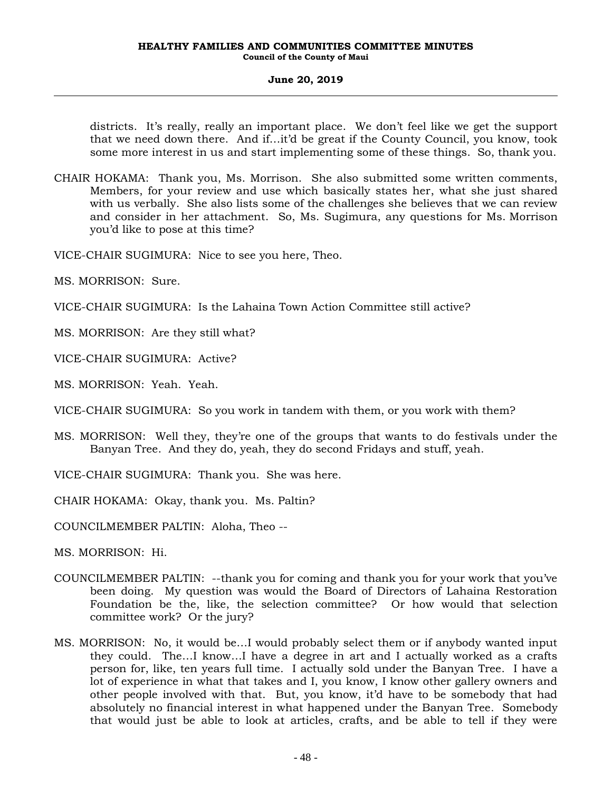districts. It's really, really an important place. We don't feel like we get the support that we need down there. And if…it'd be great if the County Council, you know, took some more interest in us and start implementing some of these things. So, thank you.

- CHAIR HOKAMA: Thank you, Ms. Morrison. She also submitted some written comments, Members, for your review and use which basically states her, what she just shared with us verbally. She also lists some of the challenges she believes that we can review and consider in her attachment. So, Ms. Sugimura, any questions for Ms. Morrison you'd like to pose at this time?
- VICE-CHAIR SUGIMURA: Nice to see you here, Theo.
- MS. MORRISON: Sure.
- VICE-CHAIR SUGIMURA: Is the Lahaina Town Action Committee still active?
- MS. MORRISON: Are they still what?
- VICE-CHAIR SUGIMURA: Active?
- MS. MORRISON: Yeah. Yeah.
- VICE-CHAIR SUGIMURA: So you work in tandem with them, or you work with them?
- MS. MORRISON: Well they, they're one of the groups that wants to do festivals under the Banyan Tree. And they do, yeah, they do second Fridays and stuff, yeah.
- VICE-CHAIR SUGIMURA: Thank you. She was here.
- CHAIR HOKAMA: Okay, thank you. Ms. Paltin?
- COUNCILMEMBER PALTIN: Aloha, Theo --
- MS. MORRISON: Hi.
- COUNCILMEMBER PALTIN: --thank you for coming and thank you for your work that you've been doing. My question was would the Board of Directors of Lahaina Restoration Foundation be the, like, the selection committee? Or how would that selection committee work? Or the jury?
- MS. MORRISON: No, it would be…I would probably select them or if anybody wanted input they could. The…I know…I have a degree in art and I actually worked as a crafts person for, like, ten years full time. I actually sold under the Banyan Tree. I have a lot of experience in what that takes and I, you know, I know other gallery owners and other people involved with that. But, you know, it'd have to be somebody that had absolutely no financial interest in what happened under the Banyan Tree. Somebody that would just be able to look at articles, crafts, and be able to tell if they were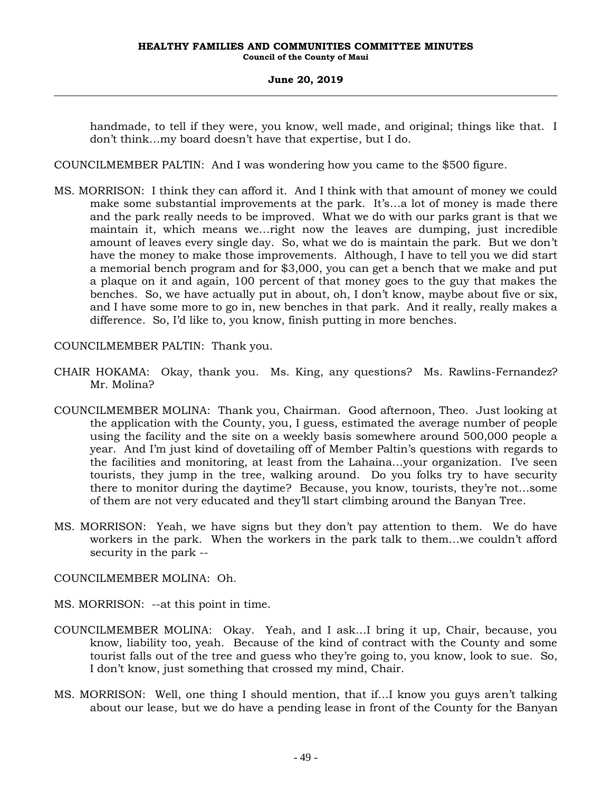handmade, to tell if they were, you know, well made, and original; things like that. I don't think…my board doesn't have that expertise, but I do.

COUNCILMEMBER PALTIN: And I was wondering how you came to the \$500 figure.

MS. MORRISON: I think they can afford it. And I think with that amount of money we could make some substantial improvements at the park. It's…a lot of money is made there and the park really needs to be improved. What we do with our parks grant is that we maintain it, which means we…right now the leaves are dumping, just incredible amount of leaves every single day. So, what we do is maintain the park. But we don't have the money to make those improvements. Although, I have to tell you we did start a memorial bench program and for \$3,000, you can get a bench that we make and put a plaque on it and again, 100 percent of that money goes to the guy that makes the benches. So, we have actually put in about, oh, I don't know, maybe about five or six, and I have some more to go in, new benches in that park. And it really, really makes a difference. So, I'd like to, you know, finish putting in more benches.

COUNCILMEMBER PALTIN: Thank you.

- CHAIR HOKAMA: Okay, thank you. Ms. King, any questions? Ms. Rawlins-Fernandez? Mr. Molina?
- COUNCILMEMBER MOLINA: Thank you, Chairman. Good afternoon, Theo. Just looking at the application with the County, you, I guess, estimated the average number of people using the facility and the site on a weekly basis somewhere around 500,000 people a year. And I'm just kind of dovetailing off of Member Paltin's questions with regards to the facilities and monitoring, at least from the Lahaina…your organization. I've seen tourists, they jump in the tree, walking around. Do you folks try to have security there to monitor during the daytime? Because, you know, tourists, they're not…some of them are not very educated and they'll start climbing around the Banyan Tree.
- MS. MORRISON: Yeah, we have signs but they don't pay attention to them. We do have workers in the park. When the workers in the park talk to them…we couldn't afford security in the park --
- COUNCILMEMBER MOLINA: Oh.
- MS. MORRISON: --at this point in time.
- COUNCILMEMBER MOLINA: Okay. Yeah, and I ask…I bring it up, Chair, because, you know, liability too, yeah. Because of the kind of contract with the County and some tourist falls out of the tree and guess who they're going to, you know, look to sue. So, I don't know, just something that crossed my mind, Chair.
- MS. MORRISON: Well, one thing I should mention, that if…I know you guys aren't talking about our lease, but we do have a pending lease in front of the County for the Banyan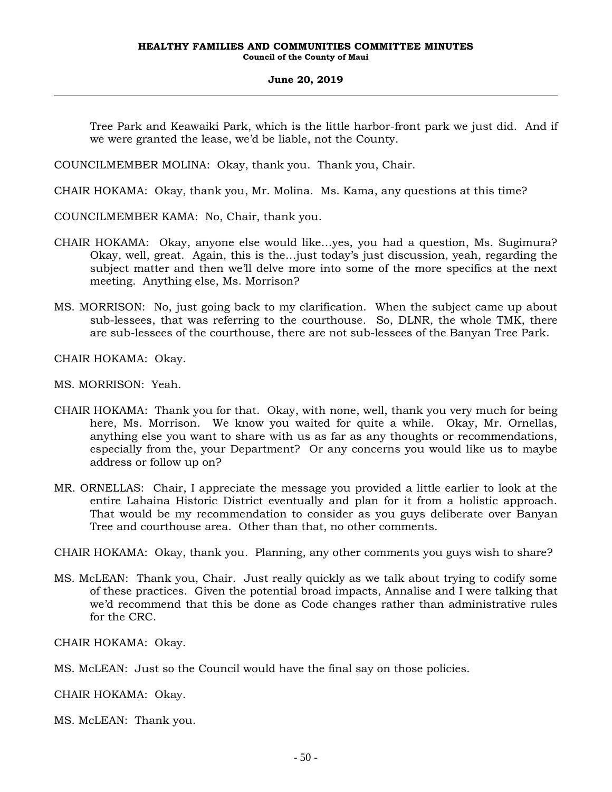Tree Park and Keawaiki Park, which is the little harbor-front park we just did. And if we were granted the lease, we'd be liable, not the County.

COUNCILMEMBER MOLINA: Okay, thank you. Thank you, Chair.

CHAIR HOKAMA: Okay, thank you, Mr. Molina. Ms. Kama, any questions at this time?

COUNCILMEMBER KAMA: No, Chair, thank you.

- CHAIR HOKAMA: Okay, anyone else would like…yes, you had a question, Ms. Sugimura? Okay, well, great. Again, this is the…just today's just discussion, yeah, regarding the subject matter and then we'll delve more into some of the more specifics at the next meeting. Anything else, Ms. Morrison?
- MS. MORRISON: No, just going back to my clarification. When the subject came up about sub-lessees, that was referring to the courthouse. So, DLNR, the whole TMK, there are sub-lessees of the courthouse, there are not sub-lessees of the Banyan Tree Park.

CHAIR HOKAMA: Okay.

MS. MORRISON: Yeah.

- CHAIR HOKAMA: Thank you for that. Okay, with none, well, thank you very much for being here, Ms. Morrison. We know you waited for quite a while. Okay, Mr. Ornellas, anything else you want to share with us as far as any thoughts or recommendations, especially from the, your Department? Or any concerns you would like us to maybe address or follow up on?
- MR. ORNELLAS: Chair, I appreciate the message you provided a little earlier to look at the entire Lahaina Historic District eventually and plan for it from a holistic approach. That would be my recommendation to consider as you guys deliberate over Banyan Tree and courthouse area. Other than that, no other comments.

CHAIR HOKAMA: Okay, thank you. Planning, any other comments you guys wish to share?

MS. McLEAN: Thank you, Chair. Just really quickly as we talk about trying to codify some of these practices. Given the potential broad impacts, Annalise and I were talking that we'd recommend that this be done as Code changes rather than administrative rules for the CRC.

CHAIR HOKAMA: Okay.

CHAIR HOKAMA: Okay.

MS. McLEAN: Thank you.

MS. McLEAN: Just so the Council would have the final say on those policies.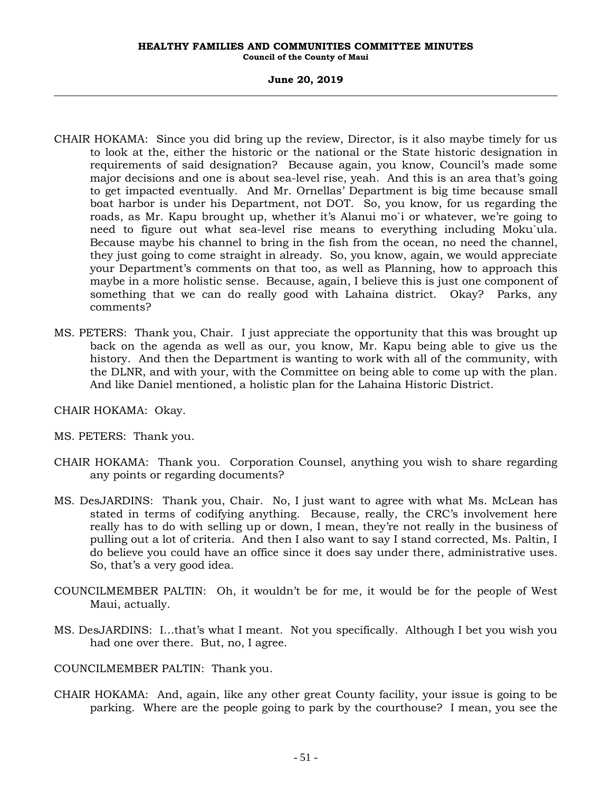# **June 20, 2019**

- CHAIR HOKAMA: Since you did bring up the review, Director, is it also maybe timely for us to look at the, either the historic or the national or the State historic designation in requirements of said designation? Because again, you know, Council's made some major decisions and one is about sea-level rise, yeah. And this is an area that's going to get impacted eventually. And Mr. Ornellas' Department is big time because small boat harbor is under his Department, not DOT. So, you know, for us regarding the roads, as Mr. Kapu brought up, whether it's Alanui mo`i or whatever, we're going to need to figure out what sea-level rise means to everything including Moku`ula. Because maybe his channel to bring in the fish from the ocean, no need the channel, they just going to come straight in already. So, you know, again, we would appreciate your Department's comments on that too, as well as Planning, how to approach this maybe in a more holistic sense. Because, again, I believe this is just one component of something that we can do really good with Lahaina district. Okay? Parks, any comments?
- MS. PETERS: Thank you, Chair. I just appreciate the opportunity that this was brought up back on the agenda as well as our, you know, Mr. Kapu being able to give us the history. And then the Department is wanting to work with all of the community, with the DLNR, and with your, with the Committee on being able to come up with the plan. And like Daniel mentioned, a holistic plan for the Lahaina Historic District.

CHAIR HOKAMA: Okay.

MS. PETERS: Thank you.

- CHAIR HOKAMA: Thank you. Corporation Counsel, anything you wish to share regarding any points or regarding documents?
- MS. DesJARDINS: Thank you, Chair. No, I just want to agree with what Ms. McLean has stated in terms of codifying anything. Because, really, the CRC's involvement here really has to do with selling up or down, I mean, they're not really in the business of pulling out a lot of criteria. And then I also want to say I stand corrected, Ms. Paltin, I do believe you could have an office since it does say under there, administrative uses. So, that's a very good idea.
- COUNCILMEMBER PALTIN: Oh, it wouldn't be for me, it would be for the people of West Maui, actually.
- MS. DesJARDINS: I…that's what I meant. Not you specifically. Although I bet you wish you had one over there. But, no, I agree.

COUNCILMEMBER PALTIN: Thank you.

CHAIR HOKAMA: And, again, like any other great County facility, your issue is going to be parking. Where are the people going to park by the courthouse? I mean, you see the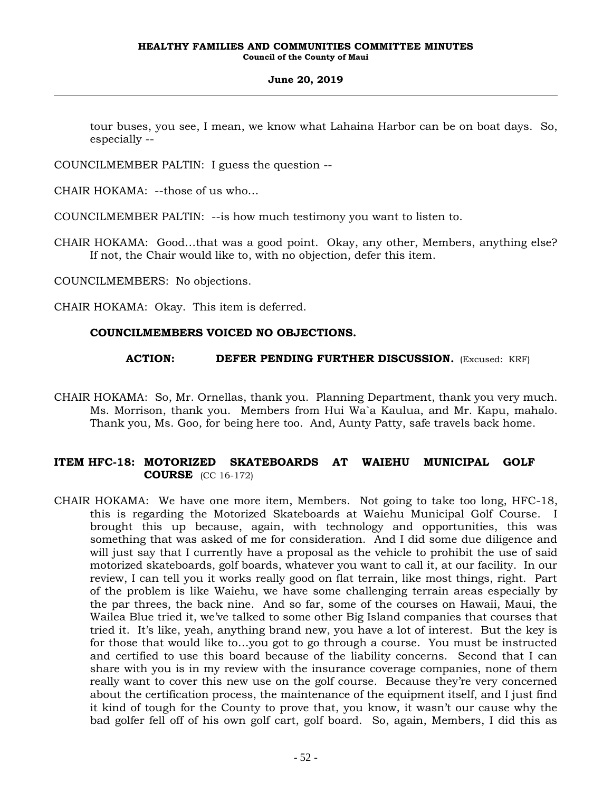tour buses, you see, I mean, we know what Lahaina Harbor can be on boat days. So, especially --

COUNCILMEMBER PALTIN: I guess the question --

CHAIR HOKAMA: --those of us who…

COUNCILMEMBER PALTIN: --is how much testimony you want to listen to.

CHAIR HOKAMA: Good…that was a good point. Okay, any other, Members, anything else? If not, the Chair would like to, with no objection, defer this item.

COUNCILMEMBERS: No objections.

CHAIR HOKAMA: Okay. This item is deferred.

# **COUNCILMEMBERS VOICED NO OBJECTIONS.**

**ACTION: DEFER PENDING FURTHER DISCUSSION.** (Excused: KRF)

CHAIR HOKAMA: So, Mr. Ornellas, thank you. Planning Department, thank you very much. Ms. Morrison, thank you. Members from Hui Wa`a Kaulua, and Mr. Kapu, mahalo. Thank you, Ms. Goo, for being here too. And, Aunty Patty, safe travels back home.

# **ITEM HFC-18: MOTORIZED SKATEBOARDS AT WAIEHU MUNICIPAL GOLF COURSE** (CC 16-172)

CHAIR HOKAMA: We have one more item, Members. Not going to take too long, HFC-18, this is regarding the Motorized Skateboards at Waiehu Municipal Golf Course. I brought this up because, again, with technology and opportunities, this was something that was asked of me for consideration. And I did some due diligence and will just say that I currently have a proposal as the vehicle to prohibit the use of said motorized skateboards, golf boards, whatever you want to call it, at our facility. In our review, I can tell you it works really good on flat terrain, like most things, right. Part of the problem is like Waiehu, we have some challenging terrain areas especially by the par threes, the back nine. And so far, some of the courses on Hawaii, Maui, the Wailea Blue tried it, we've talked to some other Big Island companies that courses that tried it. It's like, yeah, anything brand new, you have a lot of interest. But the key is for those that would like to…you got to go through a course. You must be instructed and certified to use this board because of the liability concerns. Second that I can share with you is in my review with the insurance coverage companies, none of them really want to cover this new use on the golf course. Because they're very concerned about the certification process, the maintenance of the equipment itself, and I just find it kind of tough for the County to prove that, you know, it wasn't our cause why the bad golfer fell off of his own golf cart, golf board. So, again, Members, I did this as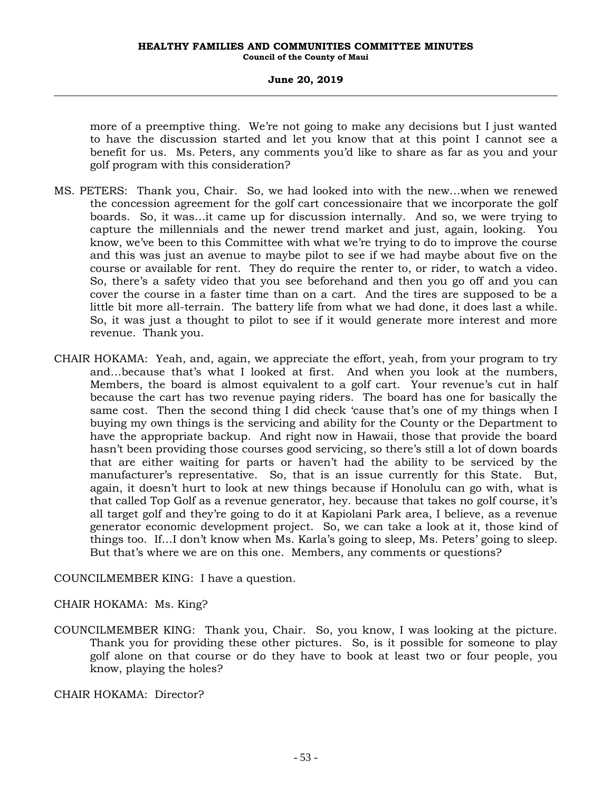# **June 20, 2019**

more of a preemptive thing. We're not going to make any decisions but I just wanted to have the discussion started and let you know that at this point I cannot see a benefit for us. Ms. Peters, any comments you'd like to share as far as you and your golf program with this consideration?

- MS. PETERS: Thank you, Chair. So, we had looked into with the new…when we renewed the concession agreement for the golf cart concessionaire that we incorporate the golf boards. So, it was…it came up for discussion internally. And so, we were trying to capture the millennials and the newer trend market and just, again, looking. You know, we've been to this Committee with what we're trying to do to improve the course and this was just an avenue to maybe pilot to see if we had maybe about five on the course or available for rent. They do require the renter to, or rider, to watch a video. So, there's a safety video that you see beforehand and then you go off and you can cover the course in a faster time than on a cart. And the tires are supposed to be a little bit more all-terrain. The battery life from what we had done, it does last a while. So, it was just a thought to pilot to see if it would generate more interest and more revenue. Thank you.
- CHAIR HOKAMA: Yeah, and, again, we appreciate the effort, yeah, from your program to try and…because that's what I looked at first. And when you look at the numbers, Members, the board is almost equivalent to a golf cart. Your revenue's cut in half because the cart has two revenue paying riders. The board has one for basically the same cost. Then the second thing I did check 'cause that's one of my things when I buying my own things is the servicing and ability for the County or the Department to have the appropriate backup. And right now in Hawaii, those that provide the board hasn't been providing those courses good servicing, so there's still a lot of down boards that are either waiting for parts or haven't had the ability to be serviced by the manufacturer's representative. So, that is an issue currently for this State. But, again, it doesn't hurt to look at new things because if Honolulu can go with, what is that called Top Golf as a revenue generator, hey. because that takes no golf course, it's all target golf and they're going to do it at Kapiolani Park area, I believe, as a revenue generator economic development project. So, we can take a look at it, those kind of things too. If…I don't know when Ms. Karla's going to sleep, Ms. Peters' going to sleep. But that's where we are on this one. Members, any comments or questions?

COUNCILMEMBER KING: I have a question.

# CHAIR HOKAMA: Ms. King?

COUNCILMEMBER KING: Thank you, Chair. So, you know, I was looking at the picture. Thank you for providing these other pictures. So, is it possible for someone to play golf alone on that course or do they have to book at least two or four people, you know, playing the holes?

CHAIR HOKAMA: Director?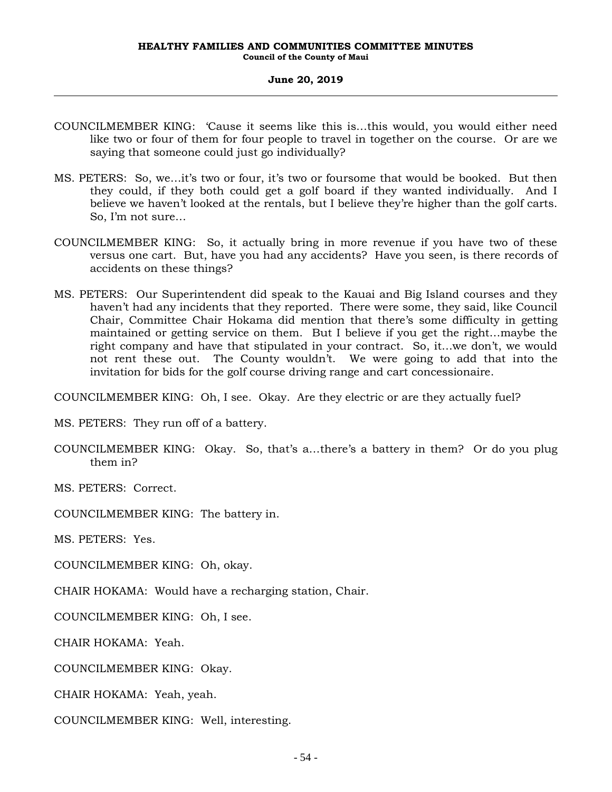- COUNCILMEMBER KING: 'Cause it seems like this is…this would, you would either need like two or four of them for four people to travel in together on the course. Or are we saying that someone could just go individually?
- MS. PETERS: So, we…it's two or four, it's two or foursome that would be booked. But then they could, if they both could get a golf board if they wanted individually. And I believe we haven't looked at the rentals, but I believe they're higher than the golf carts. So, I'm not sure…
- COUNCILMEMBER KING: So, it actually bring in more revenue if you have two of these versus one cart. But, have you had any accidents? Have you seen, is there records of accidents on these things?
- MS. PETERS: Our Superintendent did speak to the Kauai and Big Island courses and they haven't had any incidents that they reported. There were some, they said, like Council Chair, Committee Chair Hokama did mention that there's some difficulty in getting maintained or getting service on them. But I believe if you get the right…maybe the right company and have that stipulated in your contract. So, it…we don't, we would not rent these out. The County wouldn't. We were going to add that into the invitation for bids for the golf course driving range and cart concessionaire.

COUNCILMEMBER KING: Oh, I see. Okay. Are they electric or are they actually fuel?

MS. PETERS: They run off of a battery.

COUNCILMEMBER KING: Okay. So, that's a…there's a battery in them? Or do you plug them in?

MS. PETERS: Correct.

COUNCILMEMBER KING: The battery in.

MS. PETERS: Yes.

COUNCILMEMBER KING: Oh, okay.

CHAIR HOKAMA: Would have a recharging station, Chair.

COUNCILMEMBER KING: Oh, I see.

CHAIR HOKAMA: Yeah.

COUNCILMEMBER KING: Okay.

CHAIR HOKAMA: Yeah, yeah.

COUNCILMEMBER KING: Well, interesting.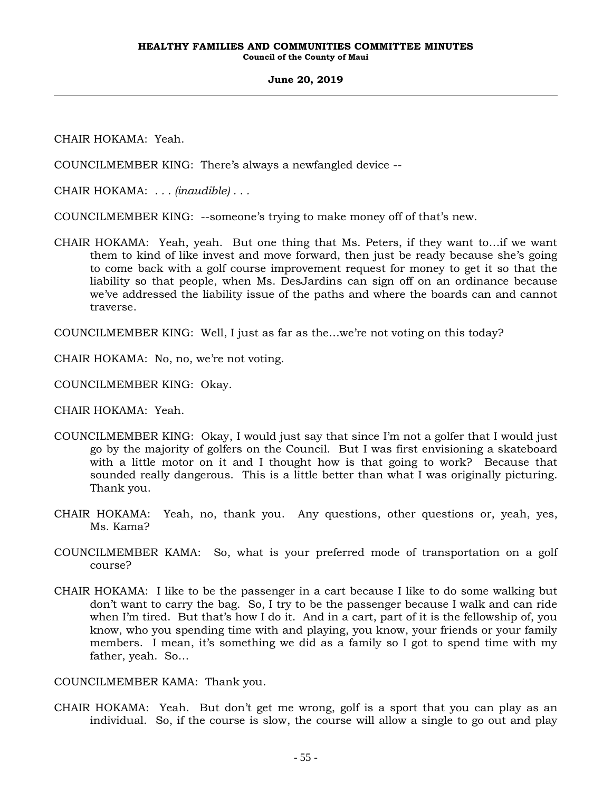CHAIR HOKAMA: Yeah.

COUNCILMEMBER KING: There's always a newfangled device --

CHAIR HOKAMA: *. . . (inaudible) . . .*

COUNCILMEMBER KING: --someone's trying to make money off of that's new.

CHAIR HOKAMA: Yeah, yeah. But one thing that Ms. Peters, if they want to…if we want them to kind of like invest and move forward, then just be ready because she's going to come back with a golf course improvement request for money to get it so that the liability so that people, when Ms. DesJardins can sign off on an ordinance because we've addressed the liability issue of the paths and where the boards can and cannot traverse.

COUNCILMEMBER KING: Well, I just as far as the…we're not voting on this today?

CHAIR HOKAMA: No, no, we're not voting.

COUNCILMEMBER KING: Okay.

CHAIR HOKAMA: Yeah.

- COUNCILMEMBER KING: Okay, I would just say that since I'm not a golfer that I would just go by the majority of golfers on the Council. But I was first envisioning a skateboard with a little motor on it and I thought how is that going to work? Because that sounded really dangerous. This is a little better than what I was originally picturing. Thank you.
- CHAIR HOKAMA: Yeah, no, thank you. Any questions, other questions or, yeah, yes, Ms. Kama?
- COUNCILMEMBER KAMA: So, what is your preferred mode of transportation on a golf course?
- CHAIR HOKAMA: I like to be the passenger in a cart because I like to do some walking but don't want to carry the bag. So, I try to be the passenger because I walk and can ride when I'm tired. But that's how I do it. And in a cart, part of it is the fellowship of, you know, who you spending time with and playing, you know, your friends or your family members. I mean, it's something we did as a family so I got to spend time with my father, yeah. So…

COUNCILMEMBER KAMA: Thank you.

CHAIR HOKAMA: Yeah. But don't get me wrong, golf is a sport that you can play as an individual. So, if the course is slow, the course will allow a single to go out and play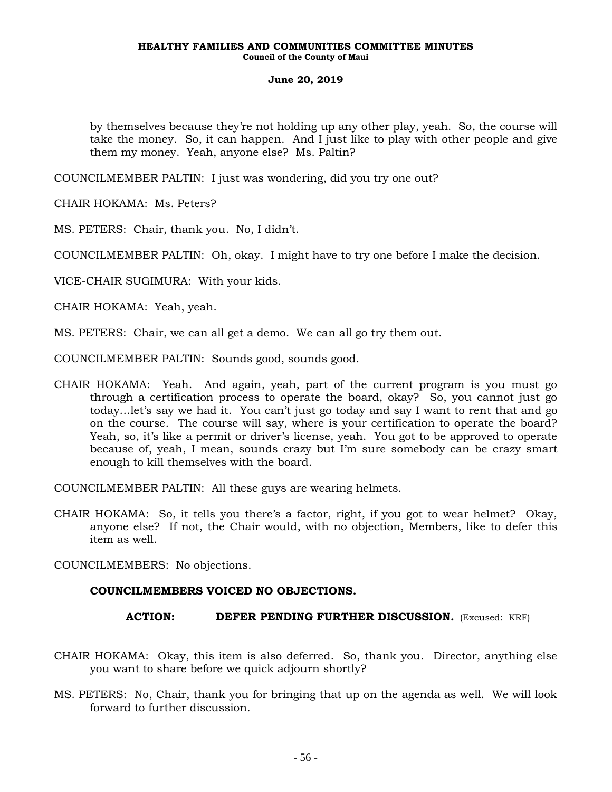by themselves because they're not holding up any other play, yeah. So, the course will take the money. So, it can happen. And I just like to play with other people and give them my money. Yeah, anyone else? Ms. Paltin?

COUNCILMEMBER PALTIN: I just was wondering, did you try one out?

CHAIR HOKAMA: Ms. Peters?

MS. PETERS: Chair, thank you. No, I didn't.

COUNCILMEMBER PALTIN: Oh, okay. I might have to try one before I make the decision.

VICE-CHAIR SUGIMURA: With your kids.

CHAIR HOKAMA: Yeah, yeah.

MS. PETERS: Chair, we can all get a demo. We can all go try them out.

COUNCILMEMBER PALTIN: Sounds good, sounds good.

CHAIR HOKAMA: Yeah. And again, yeah, part of the current program is you must go through a certification process to operate the board, okay? So, you cannot just go today…let's say we had it. You can't just go today and say I want to rent that and go on the course. The course will say, where is your certification to operate the board? Yeah, so, it's like a permit or driver's license, yeah. You got to be approved to operate because of, yeah, I mean, sounds crazy but I'm sure somebody can be crazy smart enough to kill themselves with the board.

COUNCILMEMBER PALTIN: All these guys are wearing helmets.

CHAIR HOKAMA: So, it tells you there's a factor, right, if you got to wear helmet? Okay, anyone else? If not, the Chair would, with no objection, Members, like to defer this item as well.

COUNCILMEMBERS: No objections.

# **COUNCILMEMBERS VOICED NO OBJECTIONS.**

**ACTION: DEFER PENDING FURTHER DISCUSSION.** (Excused: KRF)

- CHAIR HOKAMA: Okay, this item is also deferred. So, thank you. Director, anything else you want to share before we quick adjourn shortly?
- MS. PETERS: No, Chair, thank you for bringing that up on the agenda as well. We will look forward to further discussion.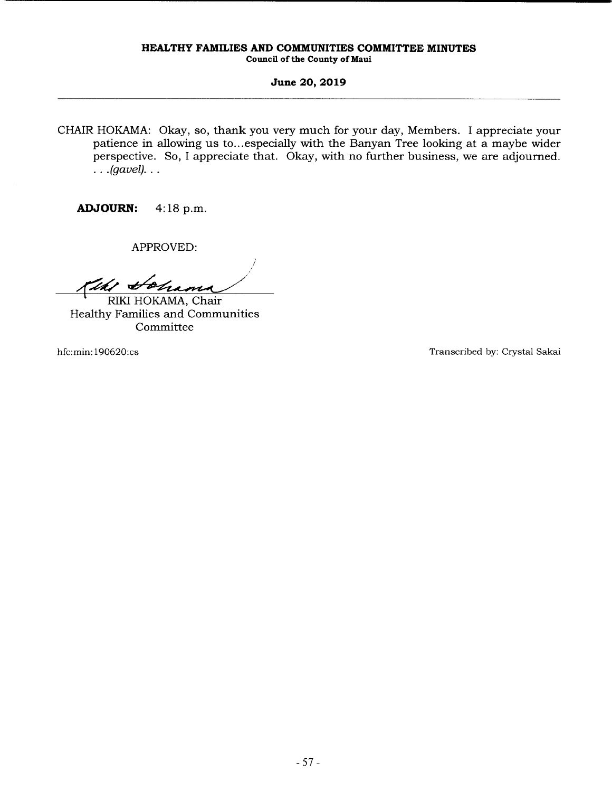CHAIR HOKAMA: Okay, so, thank you very much for your day, Members. I appreciate your patience in allowing us to... especially with the Banyan Tree looking at a maybe wider perspective. So, I appreciate that. Okay, with no further business, we are adjourned.  $\ldots$  (gavel)...

**ADJOURN:** 4: 18 p.m.

APPROVED:

*/*  Kihi Hohama

RIKI HOKAMA, Chair Healthy Families and Communities Committee

hfc:min: 190620:cs Transcribed by: Crystal Sakai